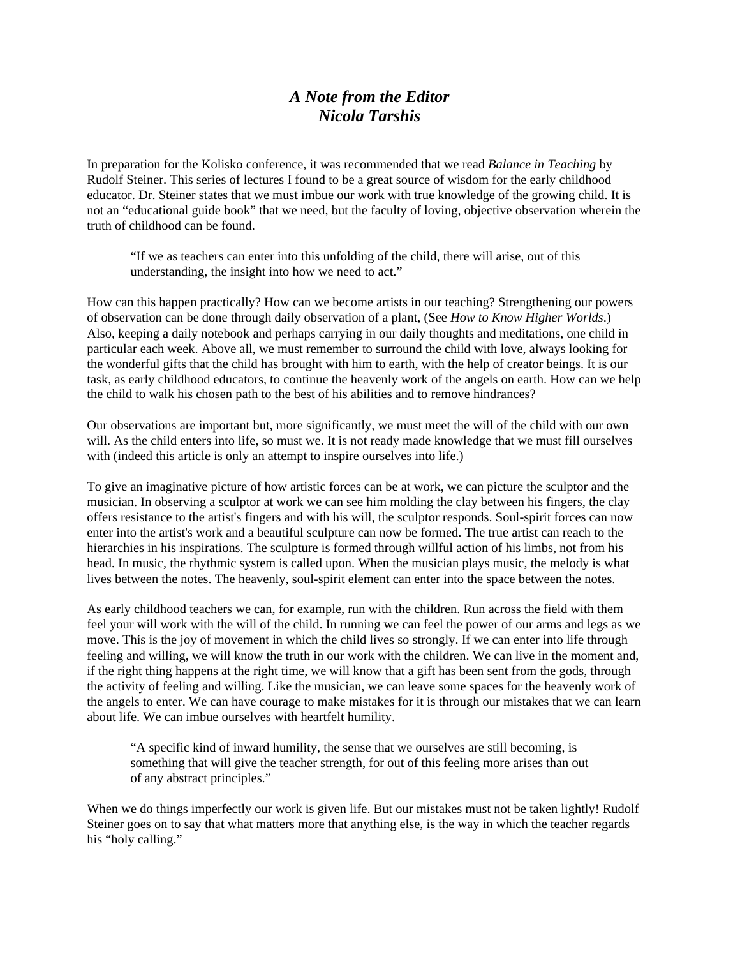### *A Note from the Editor Nicola Tarshis*

In preparation for the Kolisko conference, it was recommended that we read *Balance in Teaching* by Rudolf Steiner. This series of lectures I found to be a great source of wisdom for the early childhood educator. Dr. Steiner states that we must imbue our work with true knowledge of the growing child. It is not an "educational guide book" that we need, but the faculty of loving, objective observation wherein the truth of childhood can be found.

"If we as teachers can enter into this unfolding of the child, there will arise, out of this understanding, the insight into how we need to act."

How can this happen practically? How can we become artists in our teaching? Strengthening our powers of observation can be done through daily observation of a plant, (See *How to Know Higher Worlds*.) Also, keeping a daily notebook and perhaps carrying in our daily thoughts and meditations, one child in particular each week. Above all, we must remember to surround the child with love, always looking for the wonderful gifts that the child has brought with him to earth, with the help of creator beings. It is our task, as early childhood educators, to continue the heavenly work of the angels on earth. How can we help the child to walk his chosen path to the best of his abilities and to remove hindrances?

Our observations are important but, more significantly, we must meet the will of the child with our own will. As the child enters into life, so must we. It is not ready made knowledge that we must fill ourselves with (indeed this article is only an attempt to inspire ourselves into life.)

To give an imaginative picture of how artistic forces can be at work, we can picture the sculptor and the musician. In observing a sculptor at work we can see him molding the clay between his fingers, the clay offers resistance to the artist's fingers and with his will, the sculptor responds. Soul-spirit forces can now enter into the artist's work and a beautiful sculpture can now be formed. The true artist can reach to the hierarchies in his inspirations. The sculpture is formed through willful action of his limbs, not from his head. In music, the rhythmic system is called upon. When the musician plays music, the melody is what lives between the notes. The heavenly, soul-spirit element can enter into the space between the notes.

As early childhood teachers we can, for example, run with the children. Run across the field with them feel your will work with the will of the child. In running we can feel the power of our arms and legs as we move. This is the joy of movement in which the child lives so strongly. If we can enter into life through feeling and willing, we will know the truth in our work with the children. We can live in the moment and, if the right thing happens at the right time, we will know that a gift has been sent from the gods, through the activity of feeling and willing. Like the musician, we can leave some spaces for the heavenly work of the angels to enter. We can have courage to make mistakes for it is through our mistakes that we can learn about life. We can imbue ourselves with heartfelt humility.

"A specific kind of inward humility, the sense that we ourselves are still becoming, is something that will give the teacher strength, for out of this feeling more arises than out of any abstract principles."

When we do things imperfectly our work is given life. But our mistakes must not be taken lightly! Rudolf Steiner goes on to say that what matters more that anything else, is the way in which the teacher regards his "holy calling."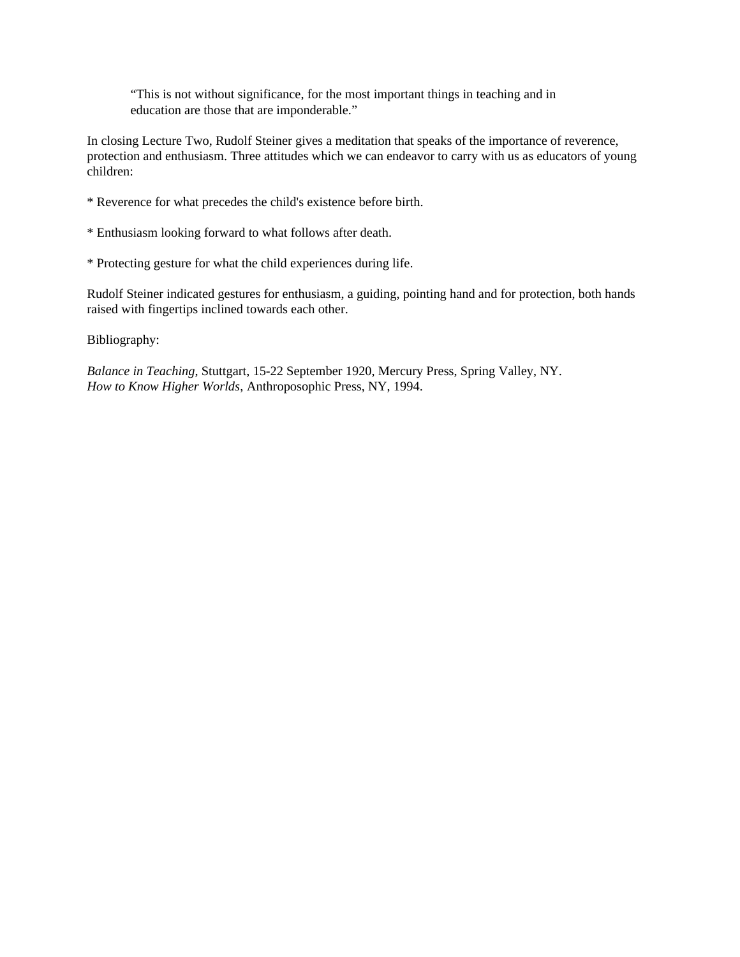"This is not without significance, for the most important things in teaching and in education are those that are imponderable."

In closing Lecture Two, Rudolf Steiner gives a meditation that speaks of the importance of reverence, protection and enthusiasm. Three attitudes which we can endeavor to carry with us as educators of young children:

- \* Reverence for what precedes the child's existence before birth.
- \* Enthusiasm looking forward to what follows after death.
- \* Protecting gesture for what the child experiences during life.

Rudolf Steiner indicated gestures for enthusiasm, a guiding, pointing hand and for protection, both hands raised with fingertips inclined towards each other.

Bibliography:

*Balance in Teaching*, Stuttgart, 15-22 September 1920, Mercury Press, Spring Valley, NY. *How to Know Higher Worlds*, Anthroposophic Press, NY, 1994.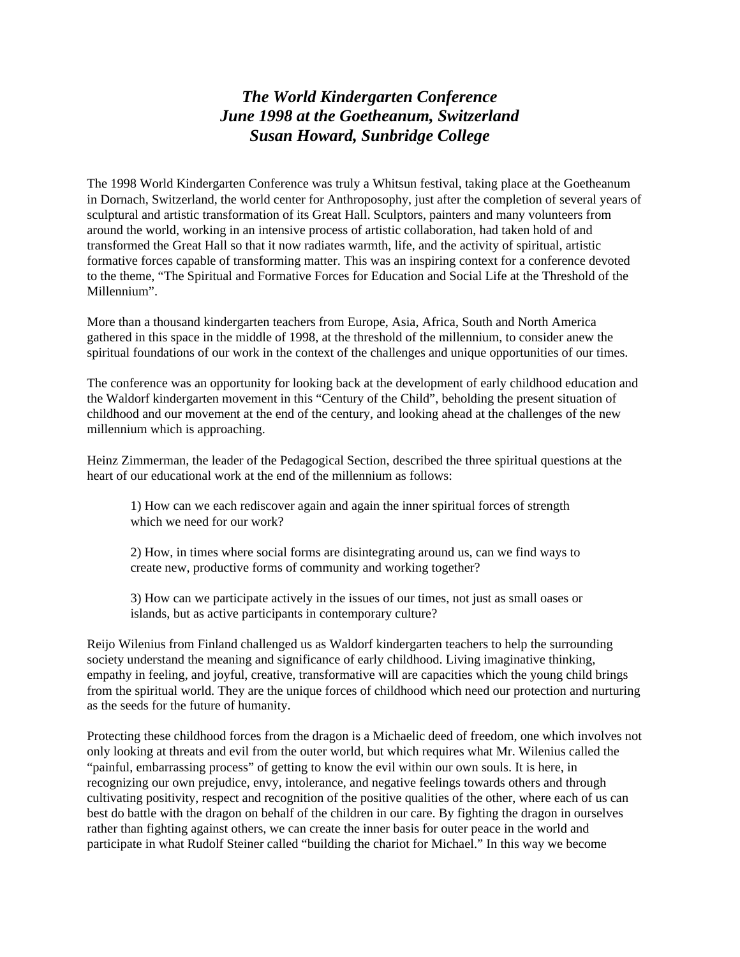# *The World Kindergarten Conference June 1998 at the Goetheanum, Switzerland Susan Howard, Sunbridge College*

The 1998 World Kindergarten Conference was truly a Whitsun festival, taking place at the Goetheanum in Dornach, Switzerland, the world center for Anthroposophy, just after the completion of several years of sculptural and artistic transformation of its Great Hall. Sculptors, painters and many volunteers from around the world, working in an intensive process of artistic collaboration, had taken hold of and transformed the Great Hall so that it now radiates warmth, life, and the activity of spiritual, artistic formative forces capable of transforming matter. This was an inspiring context for a conference devoted to the theme, "The Spiritual and Formative Forces for Education and Social Life at the Threshold of the Millennium".

More than a thousand kindergarten teachers from Europe, Asia, Africa, South and North America gathered in this space in the middle of 1998, at the threshold of the millennium, to consider anew the spiritual foundations of our work in the context of the challenges and unique opportunities of our times.

The conference was an opportunity for looking back at the development of early childhood education and the Waldorf kindergarten movement in this "Century of the Child", beholding the present situation of childhood and our movement at the end of the century, and looking ahead at the challenges of the new millennium which is approaching.

Heinz Zimmerman, the leader of the Pedagogical Section, described the three spiritual questions at the heart of our educational work at the end of the millennium as follows:

1) How can we each rediscover again and again the inner spiritual forces of strength which we need for our work?

2) How, in times where social forms are disintegrating around us, can we find ways to create new, productive forms of community and working together?

3) How can we participate actively in the issues of our times, not just as small oases or islands, but as active participants in contemporary culture?

Reijo Wilenius from Finland challenged us as Waldorf kindergarten teachers to help the surrounding society understand the meaning and significance of early childhood. Living imaginative thinking, empathy in feeling, and joyful, creative, transformative will are capacities which the young child brings from the spiritual world. They are the unique forces of childhood which need our protection and nurturing as the seeds for the future of humanity.

Protecting these childhood forces from the dragon is a Michaelic deed of freedom, one which involves not only looking at threats and evil from the outer world, but which requires what Mr. Wilenius called the "painful, embarrassing process" of getting to know the evil within our own souls. It is here, in recognizing our own prejudice, envy, intolerance, and negative feelings towards others and through cultivating positivity, respect and recognition of the positive qualities of the other, where each of us can best do battle with the dragon on behalf of the children in our care. By fighting the dragon in ourselves rather than fighting against others, we can create the inner basis for outer peace in the world and participate in what Rudolf Steiner called "building the chariot for Michael." In this way we become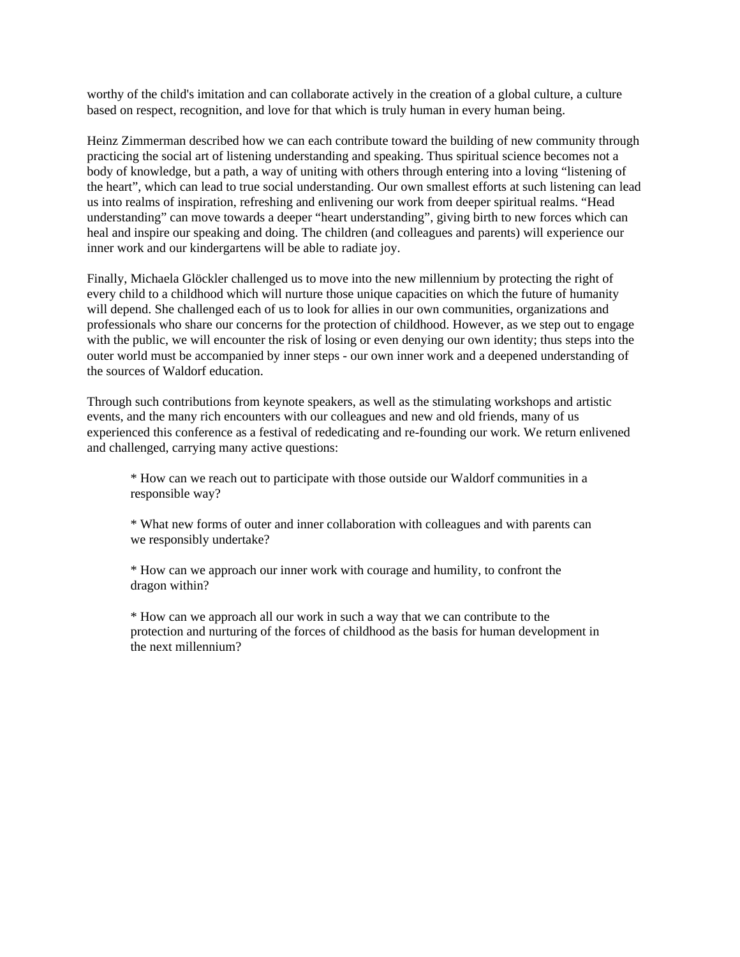worthy of the child's imitation and can collaborate actively in the creation of a global culture, a culture based on respect, recognition, and love for that which is truly human in every human being.

Heinz Zimmerman described how we can each contribute toward the building of new community through practicing the social art of listening understanding and speaking. Thus spiritual science becomes not a body of knowledge, but a path, a way of uniting with others through entering into a loving "listening of the heart", which can lead to true social understanding. Our own smallest efforts at such listening can lead us into realms of inspiration, refreshing and enlivening our work from deeper spiritual realms. "Head understanding" can move towards a deeper "heart understanding", giving birth to new forces which can heal and inspire our speaking and doing. The children (and colleagues and parents) will experience our inner work and our kindergartens will be able to radiate joy.

Finally, Michaela Glöckler challenged us to move into the new millennium by protecting the right of every child to a childhood which will nurture those unique capacities on which the future of humanity will depend. She challenged each of us to look for allies in our own communities, organizations and professionals who share our concerns for the protection of childhood. However, as we step out to engage with the public, we will encounter the risk of losing or even denying our own identity; thus steps into the outer world must be accompanied by inner steps - our own inner work and a deepened understanding of the sources of Waldorf education.

Through such contributions from keynote speakers, as well as the stimulating workshops and artistic events, and the many rich encounters with our colleagues and new and old friends, many of us experienced this conference as a festival of rededicating and re-founding our work. We return enlivened and challenged, carrying many active questions:

\* How can we reach out to participate with those outside our Waldorf communities in a responsible way?

\* What new forms of outer and inner collaboration with colleagues and with parents can we responsibly undertake?

\* How can we approach our inner work with courage and humility, to confront the dragon within?

\* How can we approach all our work in such a way that we can contribute to the protection and nurturing of the forces of childhood as the basis for human development in the next millennium?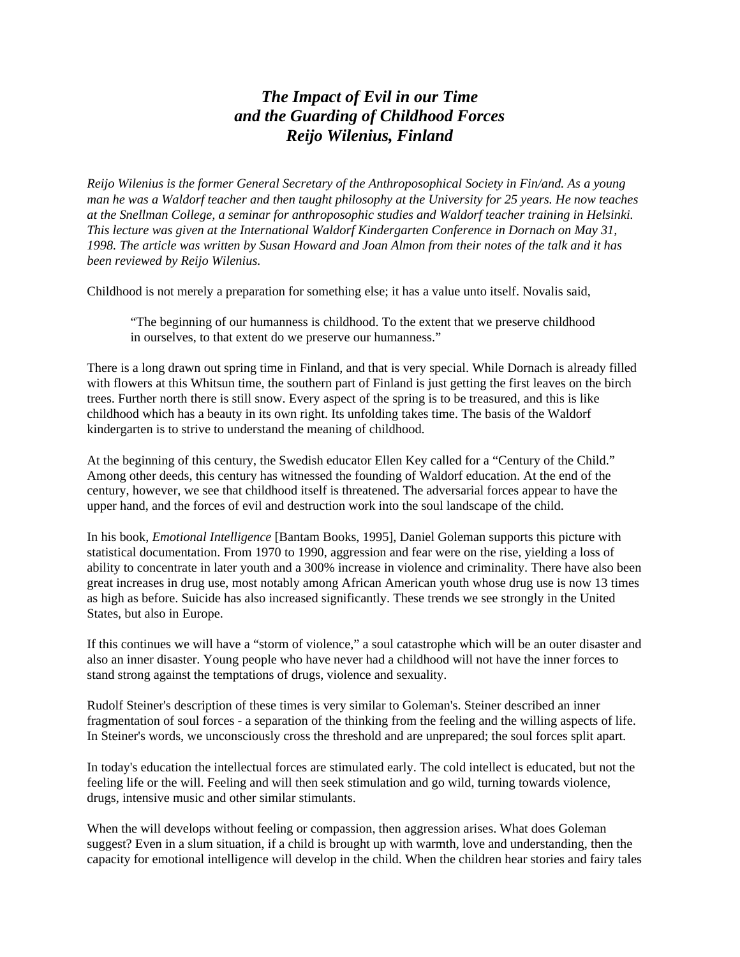# *The Impact of Evil in our Time and the Guarding of Childhood Forces Reijo Wilenius, Finland*

*Reijo Wilenius is the former General Secretary of the Anthroposophical Society in Fin/and. As a young man he was a Waldorf teacher and then taught philosophy at the University for 25 years. He now teaches at the Snellman College, a seminar for anthroposophic studies and Waldorf teacher training in Helsinki. This lecture was given at the International Waldorf Kindergarten Conference in Dornach on May 31, 1998. The article was written by Susan Howard and Joan Almon from their notes of the talk and it has been reviewed by Reijo Wilenius.*

Childhood is not merely a preparation for something else; it has a value unto itself. Novalis said,

"The beginning of our humanness is childhood. To the extent that we preserve childhood in ourselves, to that extent do we preserve our humanness."

There is a long drawn out spring time in Finland, and that is very special. While Dornach is already filled with flowers at this Whitsun time, the southern part of Finland is just getting the first leaves on the birch trees. Further north there is still snow. Every aspect of the spring is to be treasured, and this is like childhood which has a beauty in its own right. Its unfolding takes time. The basis of the Waldorf kindergarten is to strive to understand the meaning of childhood.

At the beginning of this century, the Swedish educator Ellen Key called for a "Century of the Child." Among other deeds, this century has witnessed the founding of Waldorf education. At the end of the century, however, we see that childhood itself is threatened. The adversarial forces appear to have the upper hand, and the forces of evil and destruction work into the soul landscape of the child.

In his book, *Emotional Intelligence* [Bantam Books, 1995], Daniel Goleman supports this picture with statistical documentation. From 1970 to 1990, aggression and fear were on the rise, yielding a loss of ability to concentrate in later youth and a 300% increase in violence and criminality. There have also been great increases in drug use, most notably among African American youth whose drug use is now 13 times as high as before. Suicide has also increased significantly. These trends we see strongly in the United States, but also in Europe.

If this continues we will have a "storm of violence," a soul catastrophe which will be an outer disaster and also an inner disaster. Young people who have never had a childhood will not have the inner forces to stand strong against the temptations of drugs, violence and sexuality.

Rudolf Steiner's description of these times is very similar to Goleman's. Steiner described an inner fragmentation of soul forces - a separation of the thinking from the feeling and the willing aspects of life. In Steiner's words, we unconsciously cross the threshold and are unprepared; the soul forces split apart.

In today's education the intellectual forces are stimulated early. The cold intellect is educated, but not the feeling life or the will. Feeling and will then seek stimulation and go wild, turning towards violence, drugs, intensive music and other similar stimulants.

When the will develops without feeling or compassion, then aggression arises. What does Goleman suggest? Even in a slum situation, if a child is brought up with warmth, love and understanding, then the capacity for emotional intelligence will develop in the child. When the children hear stories and fairy tales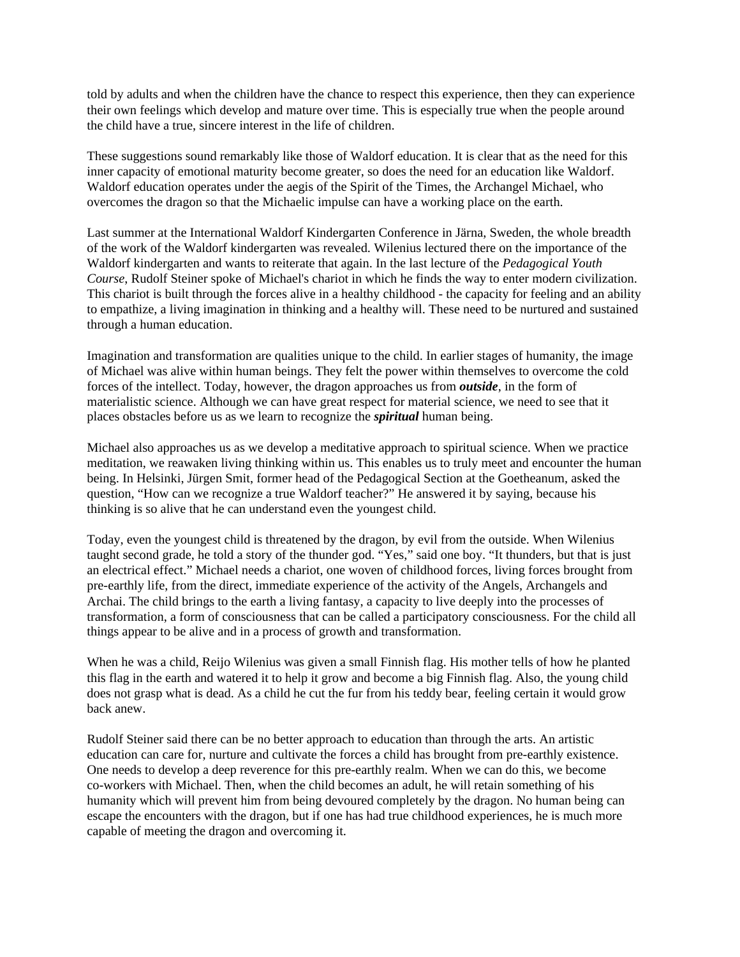told by adults and when the children have the chance to respect this experience, then they can experience their own feelings which develop and mature over time. This is especially true when the people around the child have a true, sincere interest in the life of children.

These suggestions sound remarkably like those of Waldorf education. It is clear that as the need for this inner capacity of emotional maturity become greater, so does the need for an education like Waldorf. Waldorf education operates under the aegis of the Spirit of the Times, the Archangel Michael, who overcomes the dragon so that the Michaelic impulse can have a working place on the earth.

Last summer at the International Waldorf Kindergarten Conference in Järna, Sweden, the whole breadth of the work of the Waldorf kindergarten was revealed. Wilenius lectured there on the importance of the Waldorf kindergarten and wants to reiterate that again. In the last lecture of the *Pedagogical Youth Course*, Rudolf Steiner spoke of Michael's chariot in which he finds the way to enter modern civilization. This chariot is built through the forces alive in a healthy childhood - the capacity for feeling and an ability to empathize, a living imagination in thinking and a healthy will. These need to be nurtured and sustained through a human education.

Imagination and transformation are qualities unique to the child. In earlier stages of humanity, the image of Michael was alive within human beings. They felt the power within themselves to overcome the cold forces of the intellect. Today, however, the dragon approaches us from *outside*, in the form of materialistic science. Although we can have great respect for material science, we need to see that it places obstacles before us as we learn to recognize the *spiritual* human being.

Michael also approaches us as we develop a meditative approach to spiritual science. When we practice meditation, we reawaken living thinking within us. This enables us to truly meet and encounter the human being. In Helsinki, Jürgen Smit, former head of the Pedagogical Section at the Goetheanum, asked the question, "How can we recognize a true Waldorf teacher?" He answered it by saying, because his thinking is so alive that he can understand even the youngest child.

Today, even the youngest child is threatened by the dragon, by evil from the outside. When Wilenius taught second grade, he told a story of the thunder god. "Yes," said one boy. "It thunders, but that is just an electrical effect." Michael needs a chariot, one woven of childhood forces, living forces brought from pre-earthly life, from the direct, immediate experience of the activity of the Angels, Archangels and Archai. The child brings to the earth a living fantasy, a capacity to live deeply into the processes of transformation, a form of consciousness that can be called a participatory consciousness. For the child all things appear to be alive and in a process of growth and transformation.

When he was a child, Reijo Wilenius was given a small Finnish flag. His mother tells of how he planted this flag in the earth and watered it to help it grow and become a big Finnish flag. Also, the young child does not grasp what is dead. As a child he cut the fur from his teddy bear, feeling certain it would grow back anew.

Rudolf Steiner said there can be no better approach to education than through the arts. An artistic education can care for, nurture and cultivate the forces a child has brought from pre-earthly existence. One needs to develop a deep reverence for this pre-earthly realm. When we can do this, we become co-workers with Michael. Then, when the child becomes an adult, he will retain something of his humanity which will prevent him from being devoured completely by the dragon. No human being can escape the encounters with the dragon, but if one has had true childhood experiences, he is much more capable of meeting the dragon and overcoming it.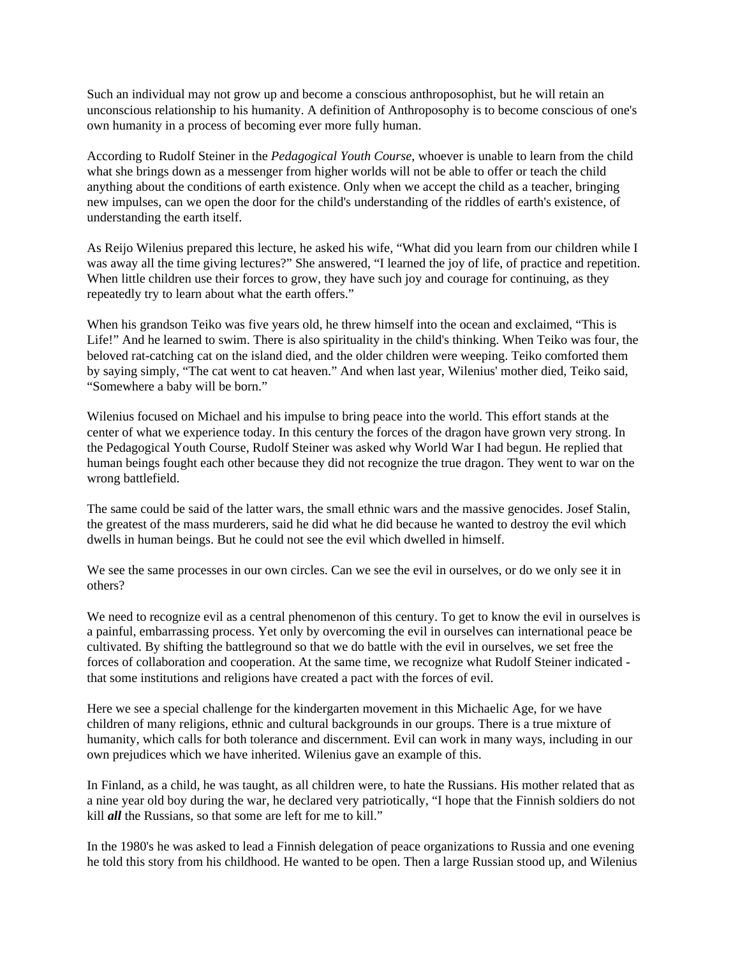Such an individual may not grow up and become a conscious anthroposophist, but he will retain an unconscious relationship to his humanity. A definition of Anthroposophy is to become conscious of one's own humanity in a process of becoming ever more fully human.

According to Rudolf Steiner in the *Pedagogical Youth Course*, whoever is unable to learn from the child what she brings down as a messenger from higher worlds will not be able to offer or teach the child anything about the conditions of earth existence. Only when we accept the child as a teacher, bringing new impulses, can we open the door for the child's understanding of the riddles of earth's existence, of understanding the earth itself.

As Reijo Wilenius prepared this lecture, he asked his wife, "What did you learn from our children while I was away all the time giving lectures?" She answered, "I learned the joy of life, of practice and repetition. When little children use their forces to grow, they have such joy and courage for continuing, as they repeatedly try to learn about what the earth offers."

When his grandson Teiko was five years old, he threw himself into the ocean and exclaimed, "This is Life!" And he learned to swim. There is also spirituality in the child's thinking. When Teiko was four, the beloved rat-catching cat on the island died, and the older children were weeping. Teiko comforted them by saying simply, "The cat went to cat heaven." And when last year, Wilenius' mother died, Teiko said, "Somewhere a baby will be born."

Wilenius focused on Michael and his impulse to bring peace into the world. This effort stands at the center of what we experience today. In this century the forces of the dragon have grown very strong. In the Pedagogical Youth Course, Rudolf Steiner was asked why World War I had begun. He replied that human beings fought each other because they did not recognize the true dragon. They went to war on the wrong battlefield.

The same could be said of the latter wars, the small ethnic wars and the massive genocides. Josef Stalin, the greatest of the mass murderers, said he did what he did because he wanted to destroy the evil which dwells in human beings. But he could not see the evil which dwelled in himself.

We see the same processes in our own circles. Can we see the evil in ourselves, or do we only see it in others?

We need to recognize evil as a central phenomenon of this century. To get to know the evil in ourselves is a painful, embarrassing process. Yet only by overcoming the evil in ourselves can international peace be cultivated. By shifting the battleground so that we do battle with the evil in ourselves, we set free the forces of collaboration and cooperation. At the same time, we recognize what Rudolf Steiner indicated that some institutions and religions have created a pact with the forces of evil.

Here we see a special challenge for the kindergarten movement in this Michaelic Age, for we have children of many religions, ethnic and cultural backgrounds in our groups. There is a true mixture of humanity, which calls for both tolerance and discernment. Evil can work in many ways, including in our own prejudices which we have inherited. Wilenius gave an example of this.

In Finland, as a child, he was taught, as all children were, to hate the Russians. His mother related that as a nine year old boy during the war, he declared very patriotically, "I hope that the Finnish soldiers do not kill *all* the Russians, so that some are left for me to kill."

In the 1980's he was asked to lead a Finnish delegation of peace organizations to Russia and one evening he told this story from his childhood. He wanted to be open. Then a large Russian stood up, and Wilenius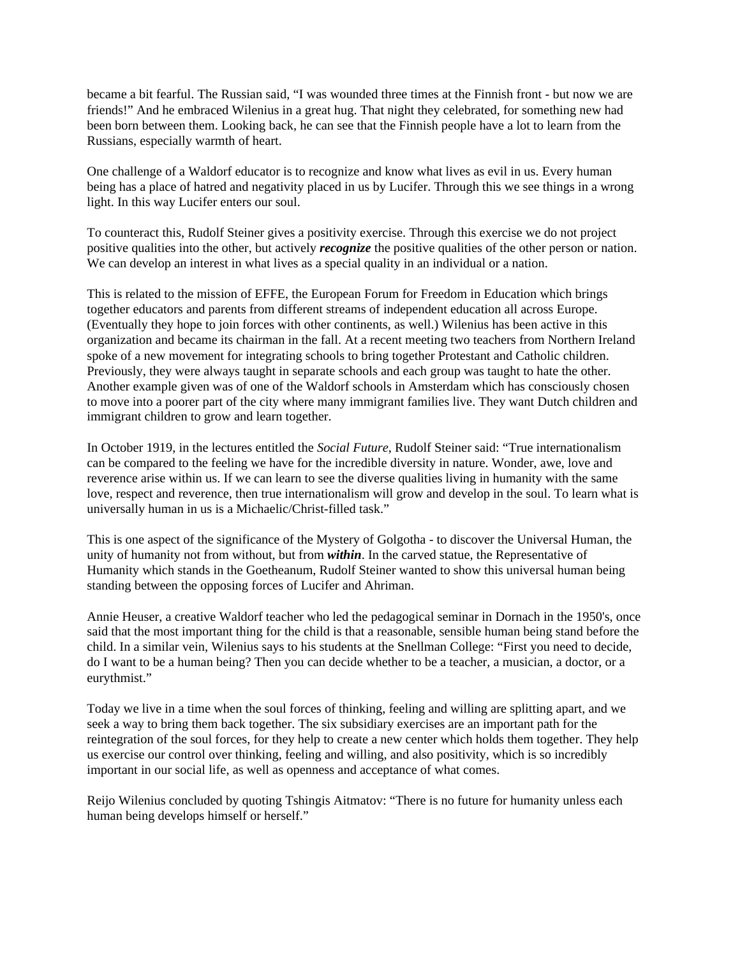became a bit fearful. The Russian said, "I was wounded three times at the Finnish front - but now we are friends!" And he embraced Wilenius in a great hug. That night they celebrated, for something new had been born between them. Looking back, he can see that the Finnish people have a lot to learn from the Russians, especially warmth of heart.

One challenge of a Waldorf educator is to recognize and know what lives as evil in us. Every human being has a place of hatred and negativity placed in us by Lucifer. Through this we see things in a wrong light. In this way Lucifer enters our soul.

To counteract this, Rudolf Steiner gives a positivity exercise. Through this exercise we do not project positive qualities into the other, but actively *recognize* the positive qualities of the other person or nation. We can develop an interest in what lives as a special quality in an individual or a nation.

This is related to the mission of EFFE, the European Forum for Freedom in Education which brings together educators and parents from different streams of independent education all across Europe. (Eventually they hope to join forces with other continents, as well.) Wilenius has been active in this organization and became its chairman in the fall. At a recent meeting two teachers from Northern Ireland spoke of a new movement for integrating schools to bring together Protestant and Catholic children. Previously, they were always taught in separate schools and each group was taught to hate the other. Another example given was of one of the Waldorf schools in Amsterdam which has consciously chosen to move into a poorer part of the city where many immigrant families live. They want Dutch children and immigrant children to grow and learn together.

In October 1919, in the lectures entitled the *Social Future*, Rudolf Steiner said: "True internationalism can be compared to the feeling we have for the incredible diversity in nature. Wonder, awe, love and reverence arise within us. If we can learn to see the diverse qualities living in humanity with the same love, respect and reverence, then true internationalism will grow and develop in the soul. To learn what is universally human in us is a Michaelic/Christ-filled task."

This is one aspect of the significance of the Mystery of Golgotha - to discover the Universal Human, the unity of humanity not from without, but from *within*. In the carved statue, the Representative of Humanity which stands in the Goetheanum, Rudolf Steiner wanted to show this universal human being standing between the opposing forces of Lucifer and Ahriman.

Annie Heuser, a creative Waldorf teacher who led the pedagogical seminar in Dornach in the 1950's, once said that the most important thing for the child is that a reasonable, sensible human being stand before the child. In a similar vein, Wilenius says to his students at the Snellman College: "First you need to decide, do I want to be a human being? Then you can decide whether to be a teacher, a musician, a doctor, or a eurythmist."

Today we live in a time when the soul forces of thinking, feeling and willing are splitting apart, and we seek a way to bring them back together. The six subsidiary exercises are an important path for the reintegration of the soul forces, for they help to create a new center which holds them together. They help us exercise our control over thinking, feeling and willing, and also positivity, which is so incredibly important in our social life, as well as openness and acceptance of what comes.

Reijo Wilenius concluded by quoting Tshingis Aitmatov: "There is no future for humanity unless each human being develops himself or herself."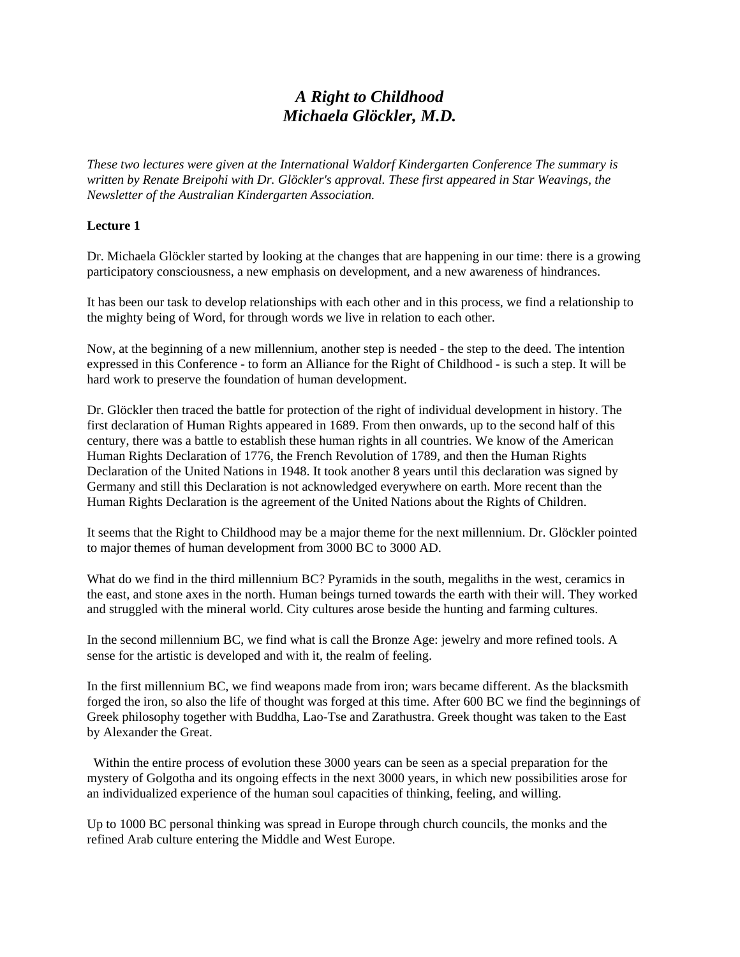# *A Right to Childhood Michaela Glöckler, M.D.*

*These two lectures were given at the International Waldorf Kindergarten Conference The summary is written by Renate Breipohi with Dr. Glöckler's approval. These first appeared in Star Weavings, the Newsletter of the Australian Kindergarten Association.*

#### **Lecture 1**

Dr. Michaela Glöckler started by looking at the changes that are happening in our time: there is a growing participatory consciousness, a new emphasis on development, and a new awareness of hindrances.

It has been our task to develop relationships with each other and in this process, we find a relationship to the mighty being of Word, for through words we live in relation to each other.

Now, at the beginning of a new millennium, another step is needed - the step to the deed. The intention expressed in this Conference - to form an Alliance for the Right of Childhood - is such a step. It will be hard work to preserve the foundation of human development.

Dr. Glöckler then traced the battle for protection of the right of individual development in history. The first declaration of Human Rights appeared in 1689. From then onwards, up to the second half of this century, there was a battle to establish these human rights in all countries. We know of the American Human Rights Declaration of 1776, the French Revolution of 1789, and then the Human Rights Declaration of the United Nations in 1948. It took another 8 years until this declaration was signed by Germany and still this Declaration is not acknowledged everywhere on earth. More recent than the Human Rights Declaration is the agreement of the United Nations about the Rights of Children.

It seems that the Right to Childhood may be a major theme for the next millennium. Dr. Glöckler pointed to major themes of human development from 3000 BC to 3000 AD.

What do we find in the third millennium BC? Pyramids in the south, megaliths in the west, ceramics in the east, and stone axes in the north. Human beings turned towards the earth with their will. They worked and struggled with the mineral world. City cultures arose beside the hunting and farming cultures.

In the second millennium BC, we find what is call the Bronze Age: jewelry and more refined tools. A sense for the artistic is developed and with it, the realm of feeling.

In the first millennium BC, we find weapons made from iron; wars became different. As the blacksmith forged the iron, so also the life of thought was forged at this time. After 600 BC we find the beginnings of Greek philosophy together with Buddha, Lao-Tse and Zarathustra. Greek thought was taken to the East by Alexander the Great.

 Within the entire process of evolution these 3000 years can be seen as a special preparation for the mystery of Golgotha and its ongoing effects in the next 3000 years, in which new possibilities arose for an individualized experience of the human soul capacities of thinking, feeling, and willing.

Up to 1000 BC personal thinking was spread in Europe through church councils, the monks and the refined Arab culture entering the Middle and West Europe.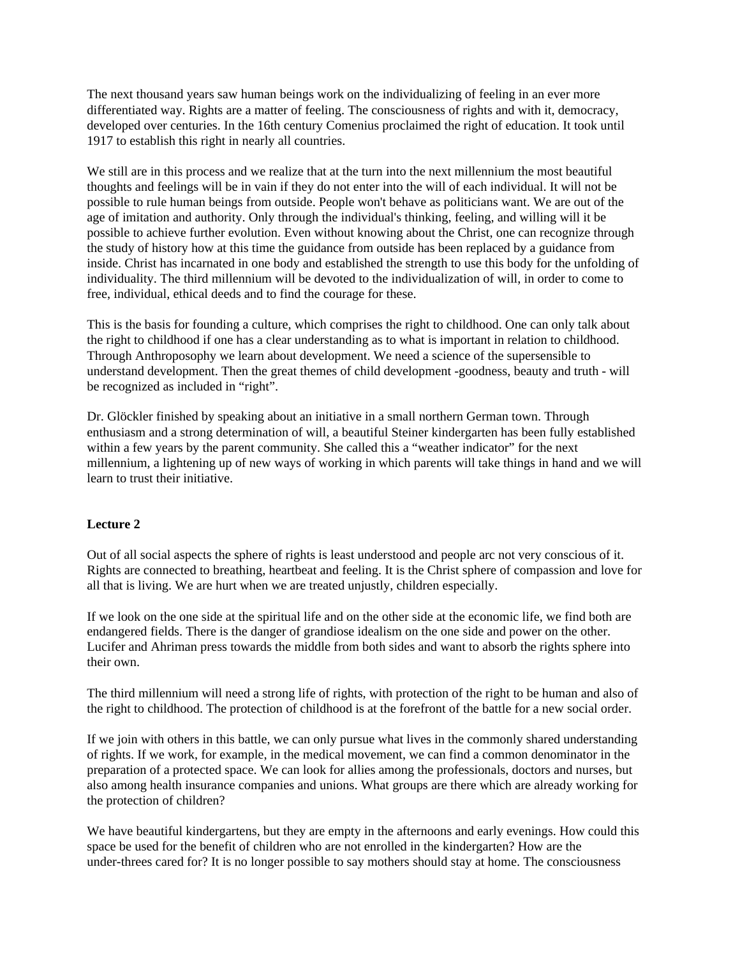The next thousand years saw human beings work on the individualizing of feeling in an ever more differentiated way. Rights are a matter of feeling. The consciousness of rights and with it, democracy, developed over centuries. In the 16th century Comenius proclaimed the right of education. It took until 1917 to establish this right in nearly all countries.

We still are in this process and we realize that at the turn into the next millennium the most beautiful thoughts and feelings will be in vain if they do not enter into the will of each individual. It will not be possible to rule human beings from outside. People won't behave as politicians want. We are out of the age of imitation and authority. Only through the individual's thinking, feeling, and willing will it be possible to achieve further evolution. Even without knowing about the Christ, one can recognize through the study of history how at this time the guidance from outside has been replaced by a guidance from inside. Christ has incarnated in one body and established the strength to use this body for the unfolding of individuality. The third millennium will be devoted to the individualization of will, in order to come to free, individual, ethical deeds and to find the courage for these.

This is the basis for founding a culture, which comprises the right to childhood. One can only talk about the right to childhood if one has a clear understanding as to what is important in relation to childhood. Through Anthroposophy we learn about development. We need a science of the supersensible to understand development. Then the great themes of child development -goodness, beauty and truth - will be recognized as included in "right".

Dr. Glöckler finished by speaking about an initiative in a small northern German town. Through enthusiasm and a strong determination of will, a beautiful Steiner kindergarten has been fully established within a few years by the parent community. She called this a "weather indicator" for the next millennium, a lightening up of new ways of working in which parents will take things in hand and we will learn to trust their initiative.

#### **Lecture 2**

Out of all social aspects the sphere of rights is least understood and people arc not very conscious of it. Rights are connected to breathing, heartbeat and feeling. It is the Christ sphere of compassion and love for all that is living. We are hurt when we are treated unjustly, children especially.

If we look on the one side at the spiritual life and on the other side at the economic life, we find both are endangered fields. There is the danger of grandiose idealism on the one side and power on the other. Lucifer and Ahriman press towards the middle from both sides and want to absorb the rights sphere into their own.

The third millennium will need a strong life of rights, with protection of the right to be human and also of the right to childhood. The protection of childhood is at the forefront of the battle for a new social order.

If we join with others in this battle, we can only pursue what lives in the commonly shared understanding of rights. If we work, for example, in the medical movement, we can find a common denominator in the preparation of a protected space. We can look for allies among the professionals, doctors and nurses, but also among health insurance companies and unions. What groups are there which are already working for the protection of children?

We have beautiful kindergartens, but they are empty in the afternoons and early evenings. How could this space be used for the benefit of children who are not enrolled in the kindergarten? How are the under-threes cared for? It is no longer possible to say mothers should stay at home. The consciousness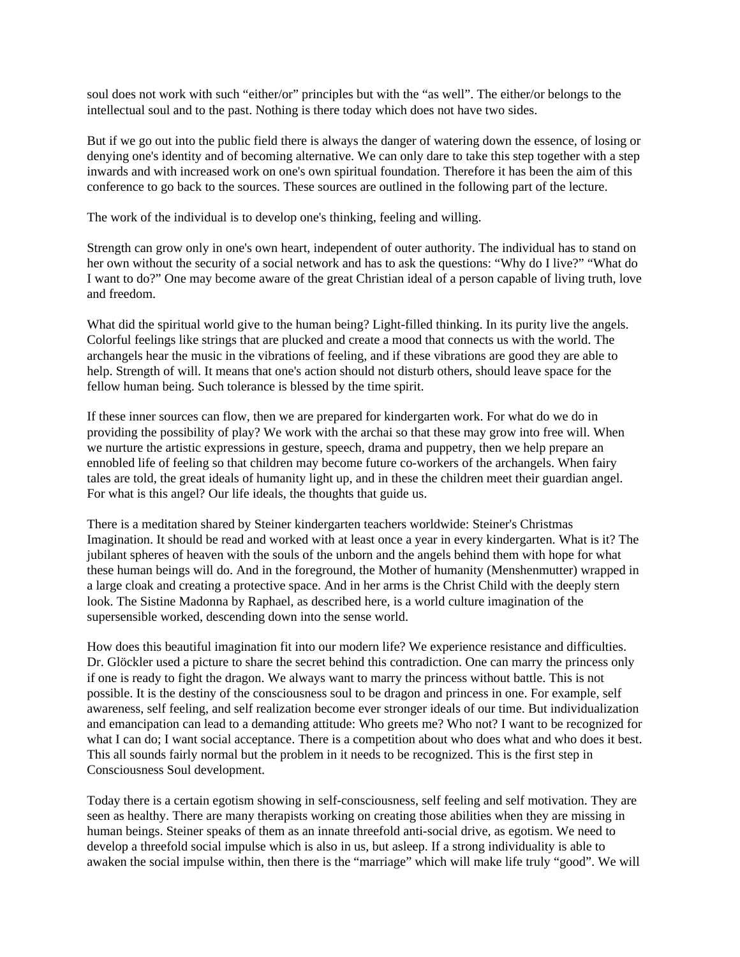soul does not work with such "either/or" principles but with the "as well". The either/or belongs to the intellectual soul and to the past. Nothing is there today which does not have two sides.

But if we go out into the public field there is always the danger of watering down the essence, of losing or denying one's identity and of becoming alternative. We can only dare to take this step together with a step inwards and with increased work on one's own spiritual foundation. Therefore it has been the aim of this conference to go back to the sources. These sources are outlined in the following part of the lecture.

The work of the individual is to develop one's thinking, feeling and willing.

Strength can grow only in one's own heart, independent of outer authority. The individual has to stand on her own without the security of a social network and has to ask the questions: "Why do I live?" "What do I want to do?" One may become aware of the great Christian ideal of a person capable of living truth, love and freedom.

What did the spiritual world give to the human being? Light-filled thinking. In its purity live the angels. Colorful feelings like strings that are plucked and create a mood that connects us with the world. The archangels hear the music in the vibrations of feeling, and if these vibrations are good they are able to help. Strength of will. It means that one's action should not disturb others, should leave space for the fellow human being. Such tolerance is blessed by the time spirit.

If these inner sources can flow, then we are prepared for kindergarten work. For what do we do in providing the possibility of play? We work with the archai so that these may grow into free will. When we nurture the artistic expressions in gesture, speech, drama and puppetry, then we help prepare an ennobled life of feeling so that children may become future co-workers of the archangels. When fairy tales are told, the great ideals of humanity light up, and in these the children meet their guardian angel. For what is this angel? Our life ideals, the thoughts that guide us.

There is a meditation shared by Steiner kindergarten teachers worldwide: Steiner's Christmas Imagination. It should be read and worked with at least once a year in every kindergarten. What is it? The jubilant spheres of heaven with the souls of the unborn and the angels behind them with hope for what these human beings will do. And in the foreground, the Mother of humanity (Menshenmutter) wrapped in a large cloak and creating a protective space. And in her arms is the Christ Child with the deeply stern look. The Sistine Madonna by Raphael, as described here, is a world culture imagination of the supersensible worked, descending down into the sense world.

How does this beautiful imagination fit into our modern life? We experience resistance and difficulties. Dr. Glöckler used a picture to share the secret behind this contradiction. One can marry the princess only if one is ready to fight the dragon. We always want to marry the princess without battle. This is not possible. It is the destiny of the consciousness soul to be dragon and princess in one. For example, self awareness, self feeling, and self realization become ever stronger ideals of our time. But individualization and emancipation can lead to a demanding attitude: Who greets me? Who not? I want to be recognized for what I can do; I want social acceptance. There is a competition about who does what and who does it best. This all sounds fairly normal but the problem in it needs to be recognized. This is the first step in Consciousness Soul development.

Today there is a certain egotism showing in self-consciousness, self feeling and self motivation. They are seen as healthy. There are many therapists working on creating those abilities when they are missing in human beings. Steiner speaks of them as an innate threefold anti-social drive, as egotism. We need to develop a threefold social impulse which is also in us, but asleep. If a strong individuality is able to awaken the social impulse within, then there is the "marriage" which will make life truly "good". We will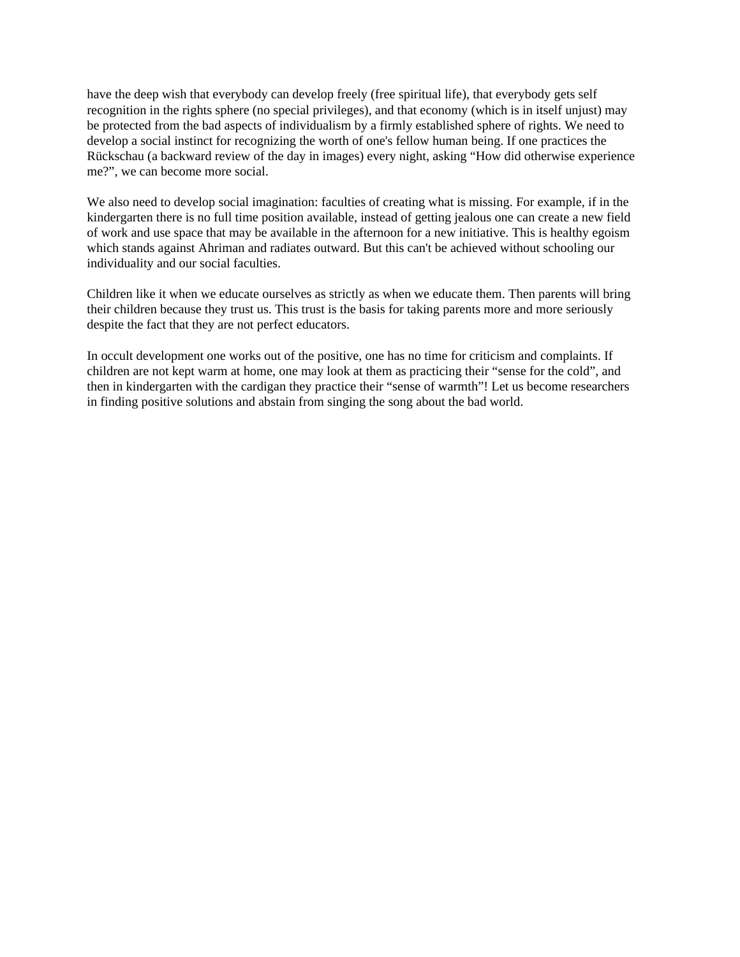have the deep wish that everybody can develop freely (free spiritual life), that everybody gets self recognition in the rights sphere (no special privileges), and that economy (which is in itself unjust) may be protected from the bad aspects of individualism by a firmly established sphere of rights. We need to develop a social instinct for recognizing the worth of one's fellow human being. If one practices the Rückschau (a backward review of the day in images) every night, asking "How did otherwise experience me?", we can become more social.

We also need to develop social imagination: faculties of creating what is missing. For example, if in the kindergarten there is no full time position available, instead of getting jealous one can create a new field of work and use space that may be available in the afternoon for a new initiative. This is healthy egoism which stands against Ahriman and radiates outward. But this can't be achieved without schooling our individuality and our social faculties.

Children like it when we educate ourselves as strictly as when we educate them. Then parents will bring their children because they trust us. This trust is the basis for taking parents more and more seriously despite the fact that they are not perfect educators.

In occult development one works out of the positive, one has no time for criticism and complaints. If children are not kept warm at home, one may look at them as practicing their "sense for the cold", and then in kindergarten with the cardigan they practice their "sense of warmth"! Let us become researchers in finding positive solutions and abstain from singing the song about the bad world.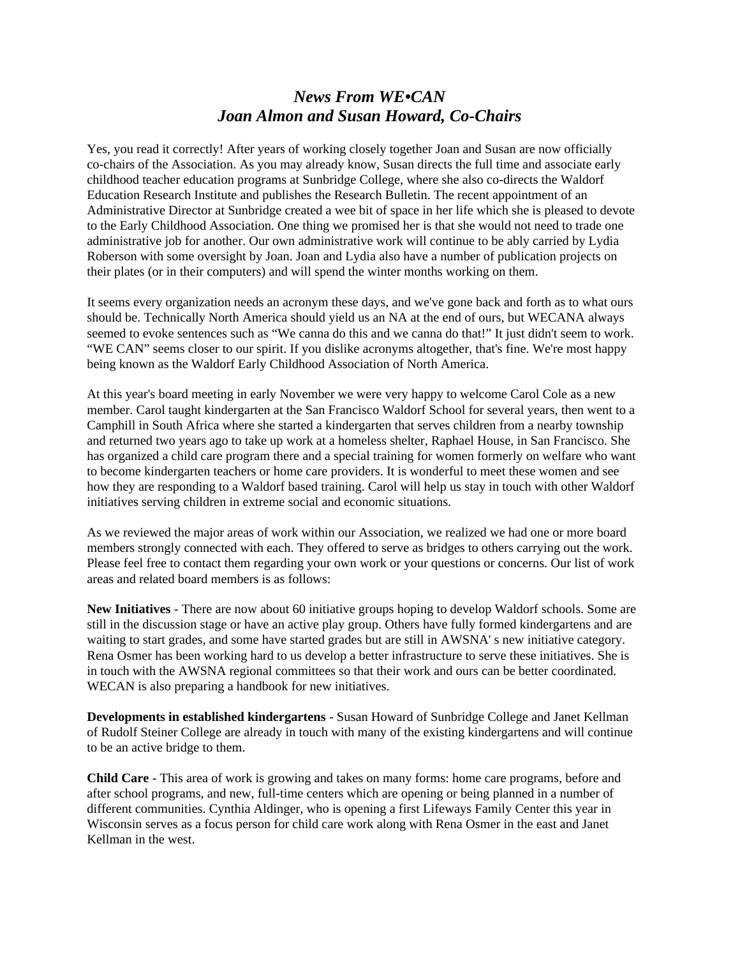#### *News From WE•CAN Joan Almon and Susan Howard, Co-Chairs*

Yes, you read it correctly! After years of working closely together Joan and Susan are now officially co-chairs of the Association. As you may already know, Susan directs the full time and associate early childhood teacher education programs at Sunbridge College, where she also co-directs the Waldorf Education Research Institute and publishes the Research Bulletin. The recent appointment of an Administrative Director at Sunbridge created a wee bit of space in her life which she is pleased to devote to the Early Childhood Association. One thing we promised her is that she would not need to trade one administrative job for another. Our own administrative work will continue to be ably carried by Lydia Roberson with some oversight by Joan. Joan and Lydia also have a number of publication projects on their plates (or in their computers) and will spend the winter months working on them.

It seems every organization needs an acronym these days, and we've gone back and forth as to what ours should be. Technically North America should yield us an NA at the end of ours, but WECANA always seemed to evoke sentences such as "We canna do this and we canna do that!" It just didn't seem to work. "WE CAN" seems closer to our spirit. If you dislike acronyms altogether, that's fine. We're most happy being known as the Waldorf Early Childhood Association of North America.

At this year's board meeting in early November we were very happy to welcome Carol Cole as a new member. Carol taught kindergarten at the San Francisco Waldorf School for several years, then went to a Camphill in South Africa where she started a kindergarten that serves children from a nearby township and returned two years ago to take up work at a homeless shelter, Raphael House, in San Francisco. She has organized a child care program there and a special training for women formerly on welfare who want to become kindergarten teachers or home care providers. It is wonderful to meet these women and see how they are responding to a Waldorf based training. Carol will help us stay in touch with other Waldorf initiatives serving children in extreme social and economic situations.

As we reviewed the major areas of work within our Association, we realized we had one or more board members strongly connected with each. They offered to serve as bridges to others carrying out the work. Please feel free to contact them regarding your own work or your questions or concerns. Our list of work areas and related board members is as follows:

**New Initiatives** - There are now about 60 initiative groups hoping to develop Waldorf schools. Some are still in the discussion stage or have an active play group. Others have fully formed kindergartens and are waiting to start grades, and some have started grades but are still in AWSNA' s new initiative category. Rena Osmer has been working hard to us develop a better infrastructure to serve these initiatives. She is in touch with the AWSNA regional committees so that their work and ours can be better coordinated. WECAN is also preparing a handbook for new initiatives.

**Developments in established kindergartens** - Susan Howard of Sunbridge College and Janet Kellman of Rudolf Steiner College are already in touch with many of the existing kindergartens and will continue to be an active bridge to them.

**Child Care** - This area of work is growing and takes on many forms: home care programs, before and after school programs, and new, full-time centers which are opening or being planned in a number of different communities. Cynthia Aldinger, who is opening a first Lifeways Family Center this year in Wisconsin serves as a focus person for child care work along with Rena Osmer in the east and Janet Kellman in the west.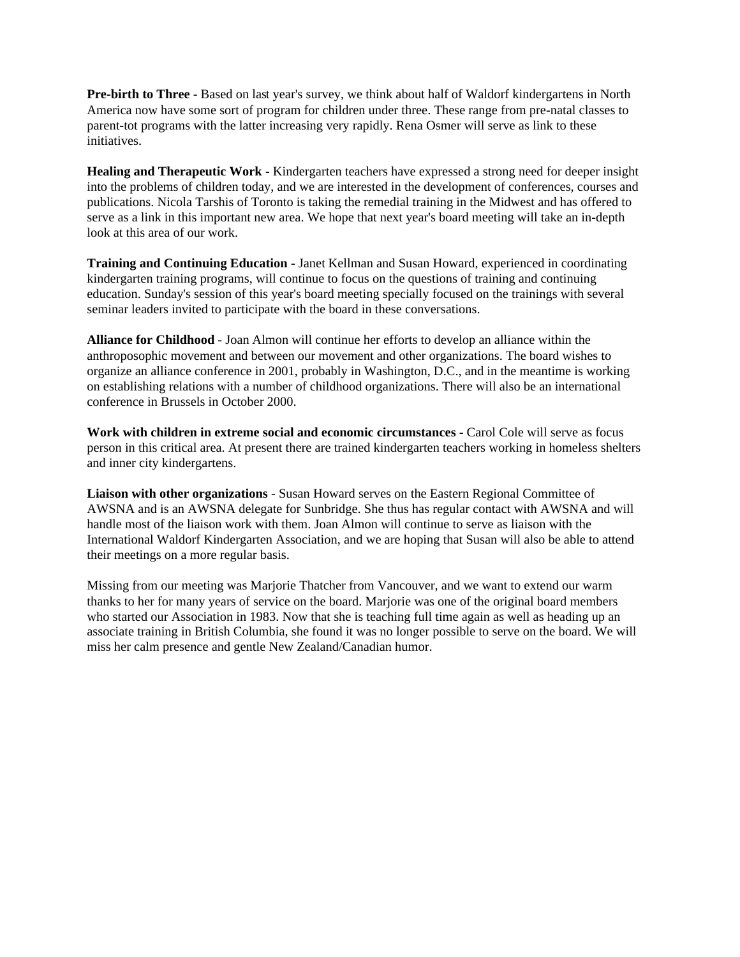**Pre-birth to Three** - Based on last year's survey, we think about half of Waldorf kindergartens in North America now have some sort of program for children under three. These range from pre-natal classes to parent-tot programs with the latter increasing very rapidly. Rena Osmer will serve as link to these initiatives.

**Healing and Therapeutic Work** - Kindergarten teachers have expressed a strong need for deeper insight into the problems of children today, and we are interested in the development of conferences, courses and publications. Nicola Tarshis of Toronto is taking the remedial training in the Midwest and has offered to serve as a link in this important new area. We hope that next year's board meeting will take an in-depth look at this area of our work.

**Training and Continuing Education** - Janet Kellman and Susan Howard, experienced in coordinating kindergarten training programs, will continue to focus on the questions of training and continuing education. Sunday's session of this year's board meeting specially focused on the trainings with several seminar leaders invited to participate with the board in these conversations.

**Alliance for Childhood** - Joan Almon will continue her efforts to develop an alliance within the anthroposophic movement and between our movement and other organizations. The board wishes to organize an alliance conference in 2001, probably in Washington, D.C., and in the meantime is working on establishing relations with a number of childhood organizations. There will also be an international conference in Brussels in October 2000.

**Work with children in extreme social and economic circumstances** - Carol Cole will serve as focus person in this critical area. At present there are trained kindergarten teachers working in homeless shelters and inner city kindergartens.

**Liaison with other organizations** - Susan Howard serves on the Eastern Regional Committee of AWSNA and is an AWSNA delegate for Sunbridge. She thus has regular contact with AWSNA and will handle most of the liaison work with them. Joan Almon will continue to serve as liaison with the International Waldorf Kindergarten Association, and we are hoping that Susan will also be able to attend their meetings on a more regular basis.

Missing from our meeting was Marjorie Thatcher from Vancouver, and we want to extend our warm thanks to her for many years of service on the board. Marjorie was one of the original board members who started our Association in 1983. Now that she is teaching full time again as well as heading up an associate training in British Columbia, she found it was no longer possible to serve on the board. We will miss her calm presence and gentle New Zealand/Canadian humor.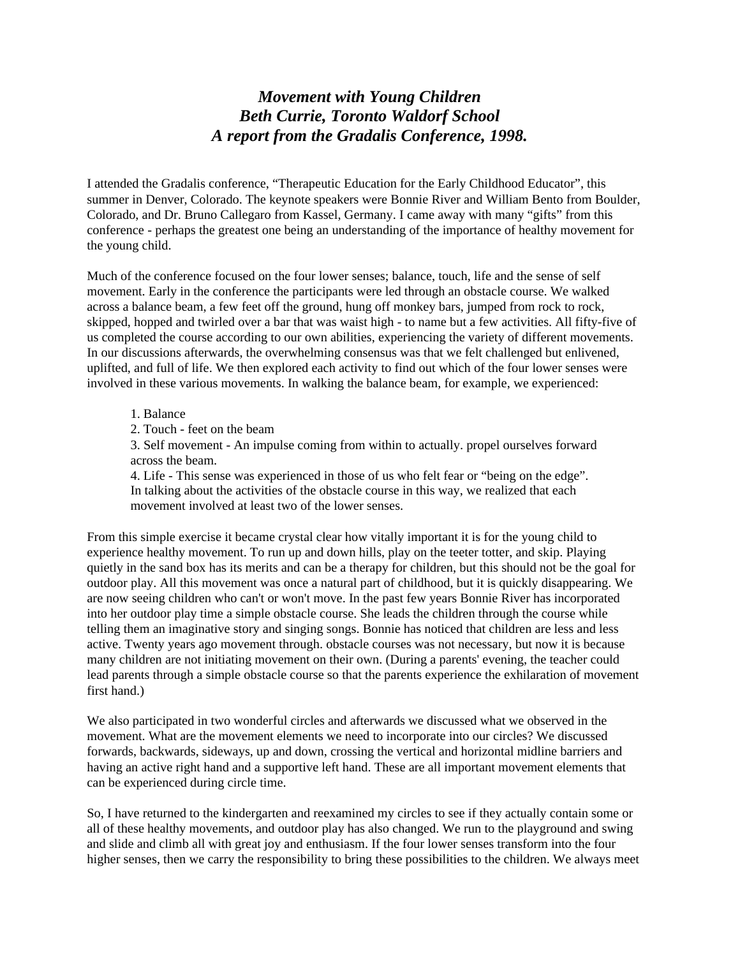#### *Movement with Young Children Beth Currie, Toronto Waldorf School A report from the Gradalis Conference, 1998.*

I attended the Gradalis conference, "Therapeutic Education for the Early Childhood Educator", this summer in Denver, Colorado. The keynote speakers were Bonnie River and William Bento from Boulder, Colorado, and Dr. Bruno Callegaro from Kassel, Germany. I came away with many "gifts" from this conference - perhaps the greatest one being an understanding of the importance of healthy movement for the young child.

Much of the conference focused on the four lower senses; balance, touch, life and the sense of self movement. Early in the conference the participants were led through an obstacle course. We walked across a balance beam, a few feet off the ground, hung off monkey bars, jumped from rock to rock, skipped, hopped and twirled over a bar that was waist high - to name but a few activities. All fifty-five of us completed the course according to our own abilities, experiencing the variety of different movements. In our discussions afterwards, the overwhelming consensus was that we felt challenged but enlivened, uplifted, and full of life. We then explored each activity to find out which of the four lower senses were involved in these various movements. In walking the balance beam, for example, we experienced:

#### 1. Balance

2. Touch - feet on the beam

3. Self movement - An impulse coming from within to actually. propel ourselves forward across the beam.

4. Life - This sense was experienced in those of us who felt fear or "being on the edge". In talking about the activities of the obstacle course in this way, we realized that each movement involved at least two of the lower senses.

From this simple exercise it became crystal clear how vitally important it is for the young child to experience healthy movement. To run up and down hills, play on the teeter totter, and skip. Playing quietly in the sand box has its merits and can be a therapy for children, but this should not be the goal for outdoor play. All this movement was once a natural part of childhood, but it is quickly disappearing. We are now seeing children who can't or won't move. In the past few years Bonnie River has incorporated into her outdoor play time a simple obstacle course. She leads the children through the course while telling them an imaginative story and singing songs. Bonnie has noticed that children are less and less active. Twenty years ago movement through. obstacle courses was not necessary, but now it is because many children are not initiating movement on their own. (During a parents' evening, the teacher could lead parents through a simple obstacle course so that the parents experience the exhilaration of movement first hand.)

We also participated in two wonderful circles and afterwards we discussed what we observed in the movement. What are the movement elements we need to incorporate into our circles? We discussed forwards, backwards, sideways, up and down, crossing the vertical and horizontal midline barriers and having an active right hand and a supportive left hand. These are all important movement elements that can be experienced during circle time.

So, I have returned to the kindergarten and reexamined my circles to see if they actually contain some or all of these healthy movements, and outdoor play has also changed. We run to the playground and swing and slide and climb all with great joy and enthusiasm. If the four lower senses transform into the four higher senses, then we carry the responsibility to bring these possibilities to the children. We always meet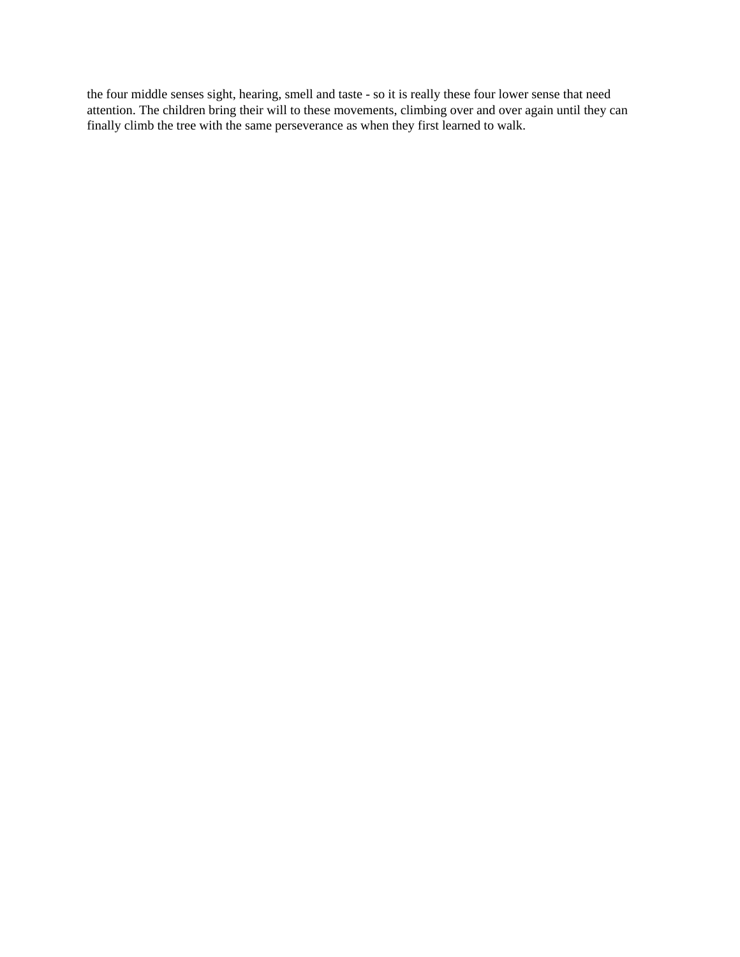the four middle senses sight, hearing, smell and taste - so it is really these four lower sense that need attention. The children bring their will to these movements, climbing over and over again until they can finally climb the tree with the same perseverance as when they first learned to walk.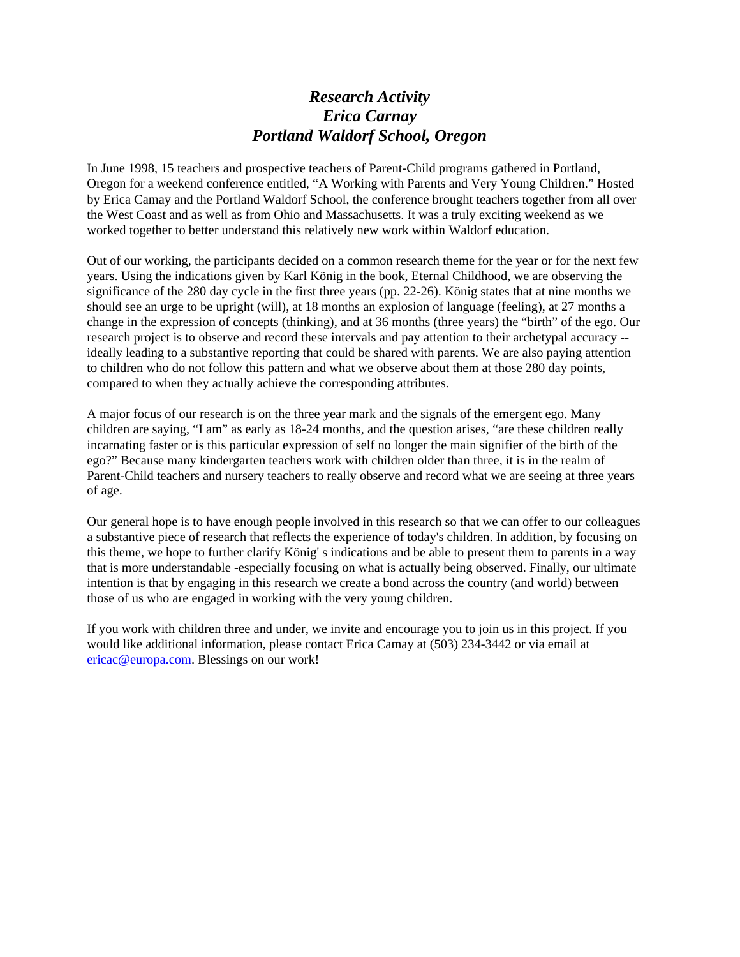### *Research Activity Erica Carnay Portland Waldorf School, Oregon*

In June 1998, 15 teachers and prospective teachers of Parent-Child programs gathered in Portland, Oregon for a weekend conference entitled, "A Working with Parents and Very Young Children." Hosted by Erica Camay and the Portland Waldorf School, the conference brought teachers together from all over the West Coast and as well as from Ohio and Massachusetts. It was a truly exciting weekend as we worked together to better understand this relatively new work within Waldorf education.

Out of our working, the participants decided on a common research theme for the year or for the next few years. Using the indications given by Karl König in the book, Eternal Childhood, we are observing the significance of the 280 day cycle in the first three years (pp. 22-26). König states that at nine months we should see an urge to be upright (will), at 18 months an explosion of language (feeling), at 27 months a change in the expression of concepts (thinking), and at 36 months (three years) the "birth" of the ego. Our research project is to observe and record these intervals and pay attention to their archetypal accuracy - ideally leading to a substantive reporting that could be shared with parents. We are also paying attention to children who do not follow this pattern and what we observe about them at those 280 day points, compared to when they actually achieve the corresponding attributes.

A major focus of our research is on the three year mark and the signals of the emergent ego. Many children are saying, "I am" as early as 18-24 months, and the question arises, "are these children really incarnating faster or is this particular expression of self no longer the main signifier of the birth of the ego?" Because many kindergarten teachers work with children older than three, it is in the realm of Parent-Child teachers and nursery teachers to really observe and record what we are seeing at three years of age.

Our general hope is to have enough people involved in this research so that we can offer to our colleagues a substantive piece of research that reflects the experience of today's children. In addition, by focusing on this theme, we hope to further clarify König' s indications and be able to present them to parents in a way that is more understandable -especially focusing on what is actually being observed. Finally, our ultimate intention is that by engaging in this research we create a bond across the country (and world) between those of us who are engaged in working with the very young children.

If you work with children three and under, we invite and encourage you to join us in this project. If you would like additional information, please contact Erica Camay at (503) 234-3442 or via email at ericac@europa.com. Blessings on our work!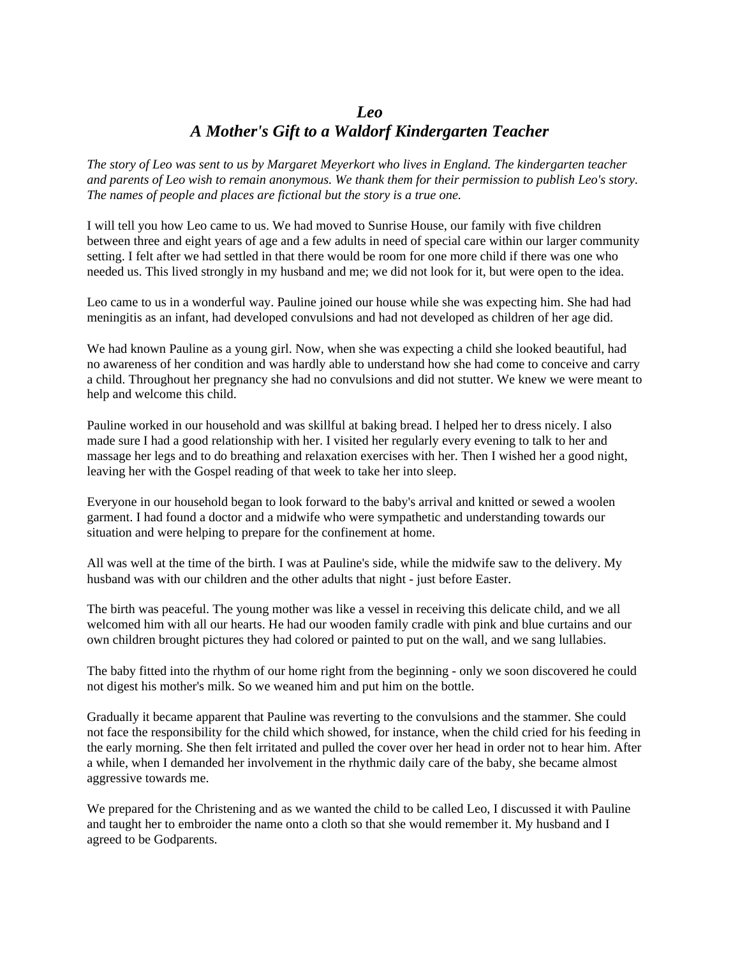#### *Leo A Mother's Gift to a Waldorf Kindergarten Teacher*

*The story of Leo was sent to us by Margaret Meyerkort who lives in England. The kindergarten teacher and parents of Leo wish to remain anonymous. We thank them for their permission to publish Leo's story. The names of people and places are fictional but the story is a true one.*

I will tell you how Leo came to us. We had moved to Sunrise House, our family with five children between three and eight years of age and a few adults in need of special care within our larger community setting. I felt after we had settled in that there would be room for one more child if there was one who needed us. This lived strongly in my husband and me; we did not look for it, but were open to the idea.

Leo came to us in a wonderful way. Pauline joined our house while she was expecting him. She had had meningitis as an infant, had developed convulsions and had not developed as children of her age did.

We had known Pauline as a young girl. Now, when she was expecting a child she looked beautiful, had no awareness of her condition and was hardly able to understand how she had come to conceive and carry a child. Throughout her pregnancy she had no convulsions and did not stutter. We knew we were meant to help and welcome this child.

Pauline worked in our household and was skillful at baking bread. I helped her to dress nicely. I also made sure I had a good relationship with her. I visited her regularly every evening to talk to her and massage her legs and to do breathing and relaxation exercises with her. Then I wished her a good night, leaving her with the Gospel reading of that week to take her into sleep.

Everyone in our household began to look forward to the baby's arrival and knitted or sewed a woolen garment. I had found a doctor and a midwife who were sympathetic and understanding towards our situation and were helping to prepare for the confinement at home.

All was well at the time of the birth. I was at Pauline's side, while the midwife saw to the delivery. My husband was with our children and the other adults that night - just before Easter.

The birth was peaceful. The young mother was like a vessel in receiving this delicate child, and we all welcomed him with all our hearts. He had our wooden family cradle with pink and blue curtains and our own children brought pictures they had colored or painted to put on the wall, and we sang lullabies.

The baby fitted into the rhythm of our home right from the beginning - only we soon discovered he could not digest his mother's milk. So we weaned him and put him on the bottle.

Gradually it became apparent that Pauline was reverting to the convulsions and the stammer. She could not face the responsibility for the child which showed, for instance, when the child cried for his feeding in the early morning. She then felt irritated and pulled the cover over her head in order not to hear him. After a while, when I demanded her involvement in the rhythmic daily care of the baby, she became almost aggressive towards me.

We prepared for the Christening and as we wanted the child to be called Leo, I discussed it with Pauline and taught her to embroider the name onto a cloth so that she would remember it. My husband and I agreed to be Godparents.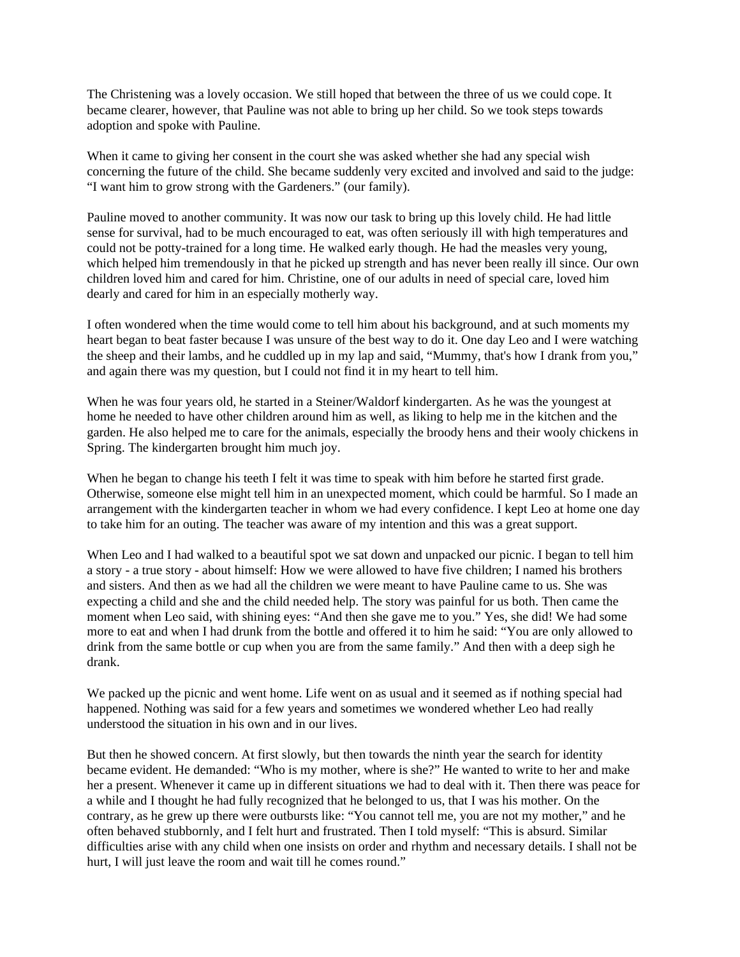The Christening was a lovely occasion. We still hoped that between the three of us we could cope. It became clearer, however, that Pauline was not able to bring up her child. So we took steps towards adoption and spoke with Pauline.

When it came to giving her consent in the court she was asked whether she had any special wish concerning the future of the child. She became suddenly very excited and involved and said to the judge: "I want him to grow strong with the Gardeners." (our family).

Pauline moved to another community. It was now our task to bring up this lovely child. He had little sense for survival, had to be much encouraged to eat, was often seriously ill with high temperatures and could not be potty-trained for a long time. He walked early though. He had the measles very young, which helped him tremendously in that he picked up strength and has never been really ill since. Our own children loved him and cared for him. Christine, one of our adults in need of special care, loved him dearly and cared for him in an especially motherly way.

I often wondered when the time would come to tell him about his background, and at such moments my heart began to beat faster because I was unsure of the best way to do it. One day Leo and I were watching the sheep and their lambs, and he cuddled up in my lap and said, "Mummy, that's how I drank from you," and again there was my question, but I could not find it in my heart to tell him.

When he was four years old, he started in a Steiner/Waldorf kindergarten. As he was the youngest at home he needed to have other children around him as well, as liking to help me in the kitchen and the garden. He also helped me to care for the animals, especially the broody hens and their wooly chickens in Spring. The kindergarten brought him much joy.

When he began to change his teeth I felt it was time to speak with him before he started first grade. Otherwise, someone else might tell him in an unexpected moment, which could be harmful. So I made an arrangement with the kindergarten teacher in whom we had every confidence. I kept Leo at home one day to take him for an outing. The teacher was aware of my intention and this was a great support.

When Leo and I had walked to a beautiful spot we sat down and unpacked our picnic. I began to tell him a story - a true story - about himself: How we were allowed to have five children; I named his brothers and sisters. And then as we had all the children we were meant to have Pauline came to us. She was expecting a child and she and the child needed help. The story was painful for us both. Then came the moment when Leo said, with shining eyes: "And then she gave me to you." Yes, she did! We had some more to eat and when I had drunk from the bottle and offered it to him he said: "You are only allowed to drink from the same bottle or cup when you are from the same family." And then with a deep sigh he drank.

We packed up the picnic and went home. Life went on as usual and it seemed as if nothing special had happened. Nothing was said for a few years and sometimes we wondered whether Leo had really understood the situation in his own and in our lives.

But then he showed concern. At first slowly, but then towards the ninth year the search for identity became evident. He demanded: "Who is my mother, where is she?" He wanted to write to her and make her a present. Whenever it came up in different situations we had to deal with it. Then there was peace for a while and I thought he had fully recognized that he belonged to us, that I was his mother. On the contrary, as he grew up there were outbursts like: "You cannot tell me, you are not my mother," and he often behaved stubbornly, and I felt hurt and frustrated. Then I told myself: "This is absurd. Similar difficulties arise with any child when one insists on order and rhythm and necessary details. I shall not be hurt, I will just leave the room and wait till he comes round."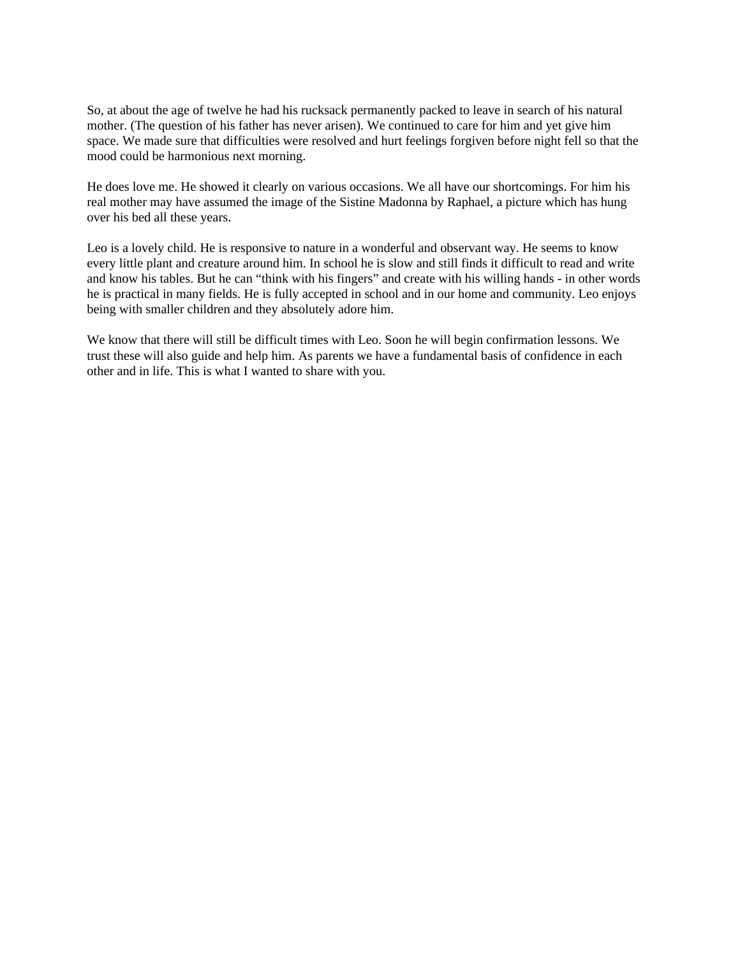So, at about the age of twelve he had his rucksack permanently packed to leave in search of his natural mother. (The question of his father has never arisen). We continued to care for him and yet give him space. We made sure that difficulties were resolved and hurt feelings forgiven before night fell so that the mood could be harmonious next morning.

He does love me. He showed it clearly on various occasions. We all have our shortcomings. For him his real mother may have assumed the image of the Sistine Madonna by Raphael, a picture which has hung over his bed all these years.

Leo is a lovely child. He is responsive to nature in a wonderful and observant way. He seems to know every little plant and creature around him. In school he is slow and still finds it difficult to read and write and know his tables. But he can "think with his fingers" and create with his willing hands - in other words he is practical in many fields. He is fully accepted in school and in our home and community. Leo enjoys being with smaller children and they absolutely adore him.

We know that there will still be difficult times with Leo. Soon he will begin confirmation lessons. We trust these will also guide and help him. As parents we have a fundamental basis of confidence in each other and in life. This is what I wanted to share with you.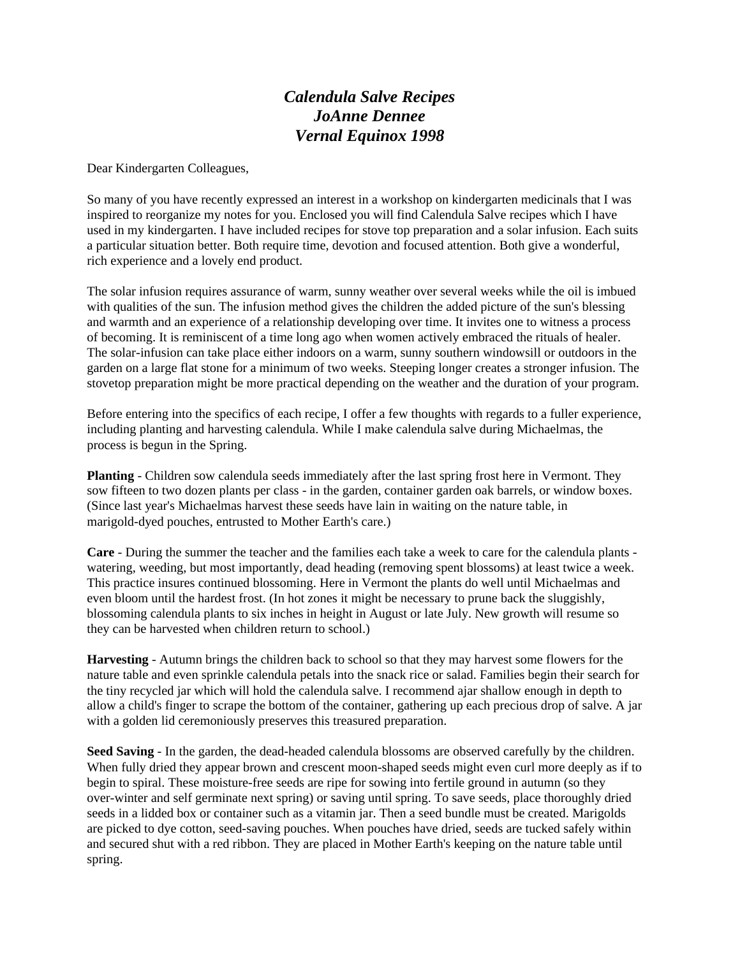# *Calendula Salve Recipes JoAnne Dennee Vernal Equinox 1998*

Dear Kindergarten Colleagues,

So many of you have recently expressed an interest in a workshop on kindergarten medicinals that I was inspired to reorganize my notes for you. Enclosed you will find Calendula Salve recipes which I have used in my kindergarten. I have included recipes for stove top preparation and a solar infusion. Each suits a particular situation better. Both require time, devotion and focused attention. Both give a wonderful, rich experience and a lovely end product.

The solar infusion requires assurance of warm, sunny weather over several weeks while the oil is imbued with qualities of the sun. The infusion method gives the children the added picture of the sun's blessing and warmth and an experience of a relationship developing over time. It invites one to witness a process of becoming. It is reminiscent of a time long ago when women actively embraced the rituals of healer. The solar-infusion can take place either indoors on a warm, sunny southern windowsill or outdoors in the garden on a large flat stone for a minimum of two weeks. Steeping longer creates a stronger infusion. The stovetop preparation might be more practical depending on the weather and the duration of your program.

Before entering into the specifics of each recipe, I offer a few thoughts with regards to a fuller experience, including planting and harvesting calendula. While I make calendula salve during Michaelmas, the process is begun in the Spring.

**Planting** - Children sow calendula seeds immediately after the last spring frost here in Vermont. They sow fifteen to two dozen plants per class - in the garden, container garden oak barrels, or window boxes. (Since last year's Michaelmas harvest these seeds have lain in waiting on the nature table, in marigold-dyed pouches, entrusted to Mother Earth's care.)

**Care** - During the summer the teacher and the families each take a week to care for the calendula plants watering, weeding, but most importantly, dead heading (removing spent blossoms) at least twice a week. This practice insures continued blossoming. Here in Vermont the plants do well until Michaelmas and even bloom until the hardest frost. (In hot zones it might be necessary to prune back the sluggishly, blossoming calendula plants to six inches in height in August or late July. New growth will resume so they can be harvested when children return to school.)

**Harvesting** - Autumn brings the children back to school so that they may harvest some flowers for the nature table and even sprinkle calendula petals into the snack rice or salad. Families begin their search for the tiny recycled jar which will hold the calendula salve. I recommend ajar shallow enough in depth to allow a child's finger to scrape the bottom of the container, gathering up each precious drop of salve. A jar with a golden lid ceremoniously preserves this treasured preparation.

**Seed Saving** - In the garden, the dead-headed calendula blossoms are observed carefully by the children. When fully dried they appear brown and crescent moon-shaped seeds might even curl more deeply as if to begin to spiral. These moisture-free seeds are ripe for sowing into fertile ground in autumn (so they over-winter and self germinate next spring) or saving until spring. To save seeds, place thoroughly dried seeds in a lidded box or container such as a vitamin jar. Then a seed bundle must be created. Marigolds are picked to dye cotton, seed-saving pouches. When pouches have dried, seeds are tucked safely within and secured shut with a red ribbon. They are placed in Mother Earth's keeping on the nature table until spring.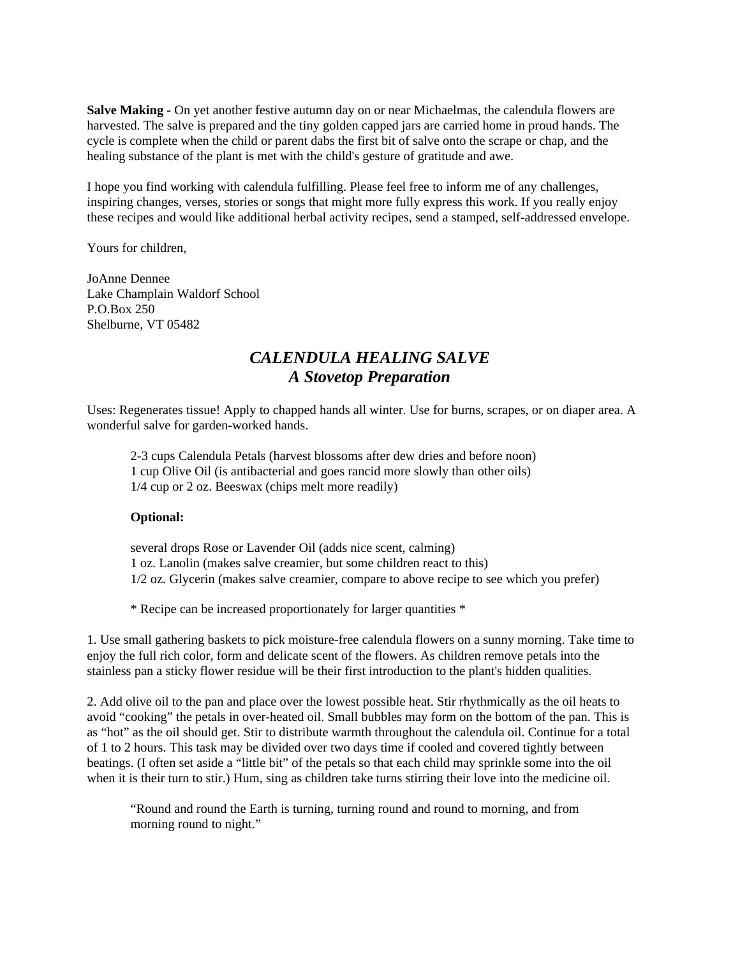**Salve Making** - On yet another festive autumn day on or near Michaelmas, the calendula flowers are harvested. The salve is prepared and the tiny golden capped jars are carried home in proud hands. The cycle is complete when the child or parent dabs the first bit of salve onto the scrape or chap, and the healing substance of the plant is met with the child's gesture of gratitude and awe.

I hope you find working with calendula fulfilling. Please feel free to inform me of any challenges, inspiring changes, verses, stories or songs that might more fully express this work. If you really enjoy these recipes and would like additional herbal activity recipes, send a stamped, self-addressed envelope.

Yours for children,

JoAnne Dennee Lake Champlain Waldorf School P.O.Box 250 Shelburne, VT 05482

### *CALENDULA HEALING SALVE A Stovetop Preparation*

Uses: Regenerates tissue! Apply to chapped hands all winter. Use for burns, scrapes, or on diaper area. A wonderful salve for garden-worked hands.

2-3 cups Calendula Petals (harvest blossoms after dew dries and before noon) 1 cup Olive Oil (is antibacterial and goes rancid more slowly than other oils) 1/4 cup or 2 oz. Beeswax (chips melt more readily)

#### **Optional:**

several drops Rose or Lavender Oil (adds nice scent, calming) 1 oz. Lanolin (makes salve creamier, but some children react to this) 1/2 oz. Glycerin (makes salve creamier, compare to above recipe to see which you prefer)

\* Recipe can be increased proportionately for larger quantities \*

1. Use small gathering baskets to pick moisture-free calendula flowers on a sunny morning. Take time to enjoy the full rich color, form and delicate scent of the flowers. As children remove petals into the stainless pan a sticky flower residue will be their first introduction to the plant's hidden qualities.

2. Add olive oil to the pan and place over the lowest possible heat. Stir rhythmically as the oil heats to avoid "cooking" the petals in over-heated oil. Small bubbles may form on the bottom of the pan. This is as "hot" as the oil should get. Stir to distribute warmth throughout the calendula oil. Continue for a total of 1 to 2 hours. This task may be divided over two days time if cooled and covered tightly between beatings. (I often set aside a "little bit" of the petals so that each child may sprinkle some into the oil when it is their turn to stir.) Hum, sing as children take turns stirring their love into the medicine oil.

"Round and round the Earth is turning, turning round and round to morning, and from morning round to night."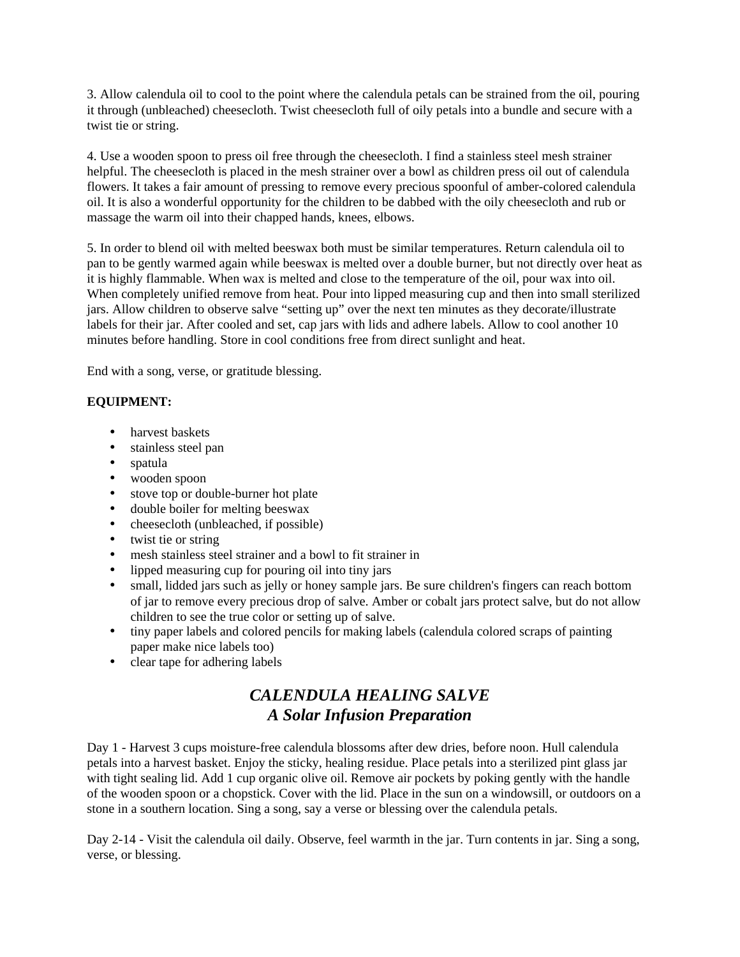3. Allow calendula oil to cool to the point where the calendula petals can be strained from the oil, pouring it through (unbleached) cheesecloth. Twist cheesecloth full of oily petals into a bundle and secure with a twist tie or string.

4. Use a wooden spoon to press oil free through the cheesecloth. I find a stainless steel mesh strainer helpful. The cheesecloth is placed in the mesh strainer over a bowl as children press oil out of calendula flowers. It takes a fair amount of pressing to remove every precious spoonful of amber-colored calendula oil. It is also a wonderful opportunity for the children to be dabbed with the oily cheesecloth and rub or massage the warm oil into their chapped hands, knees, elbows.

5. In order to blend oil with melted beeswax both must be similar temperatures. Return calendula oil to pan to be gently warmed again while beeswax is melted over a double burner, but not directly over heat as it is highly flammable. When wax is melted and close to the temperature of the oil, pour wax into oil. When completely unified remove from heat. Pour into lipped measuring cup and then into small sterilized jars. Allow children to observe salve "setting up" over the next ten minutes as they decorate/illustrate labels for their jar. After cooled and set, cap jars with lids and adhere labels. Allow to cool another 10 minutes before handling. Store in cool conditions free from direct sunlight and heat.

End with a song, verse, or gratitude blessing.

#### **EQUIPMENT:**

- harvest baskets
- stainless steel pan
- spatula
- wooden spoon
- stove top or double-burner hot plate
- double boiler for melting beeswax
- cheesecloth (unbleached, if possible)
- twist tie or string
- mesh stainless steel strainer and a bowl to fit strainer in
- lipped measuring cup for pouring oil into tiny jars
- small, lidded jars such as jelly or honey sample jars. Be sure children's fingers can reach bottom of jar to remove every precious drop of salve. Amber or cobalt jars protect salve, but do not allow children to see the true color or setting up of salve.
- tiny paper labels and colored pencils for making labels (calendula colored scraps of painting paper make nice labels too)
- clear tape for adhering labels

# *CALENDULA HEALING SALVE A Solar Infusion Preparation*

Day 1 - Harvest 3 cups moisture-free calendula blossoms after dew dries, before noon. Hull calendula petals into a harvest basket. Enjoy the sticky, healing residue. Place petals into a sterilized pint glass jar with tight sealing lid. Add 1 cup organic olive oil. Remove air pockets by poking gently with the handle of the wooden spoon or a chopstick. Cover with the lid. Place in the sun on a windowsill, or outdoors on a stone in a southern location. Sing a song, say a verse or blessing over the calendula petals.

Day 2-14 - Visit the calendula oil daily. Observe, feel warmth in the jar. Turn contents in jar. Sing a song, verse, or blessing.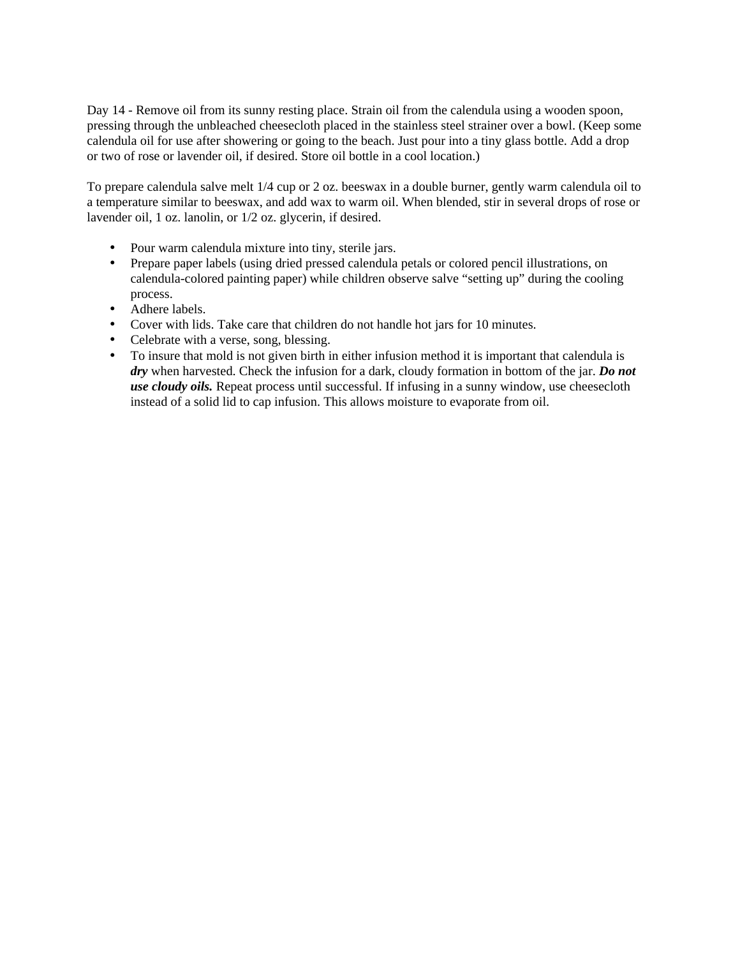Day 14 - Remove oil from its sunny resting place. Strain oil from the calendula using a wooden spoon, pressing through the unbleached cheesecloth placed in the stainless steel strainer over a bowl. (Keep some calendula oil for use after showering or going to the beach. Just pour into a tiny glass bottle. Add a drop or two of rose or lavender oil, if desired. Store oil bottle in a cool location.)

To prepare calendula salve melt 1/4 cup or 2 oz. beeswax in a double burner, gently warm calendula oil to a temperature similar to beeswax, and add wax to warm oil. When blended, stir in several drops of rose or lavender oil, 1 oz. lanolin, or 1/2 oz. glycerin, if desired.

- Pour warm calendula mixture into tiny, sterile jars.
- Prepare paper labels (using dried pressed calendula petals or colored pencil illustrations, on calendula-colored painting paper) while children observe salve "setting up" during the cooling process.
- Adhere labels.
- Cover with lids. Take care that children do not handle hot jars for 10 minutes.
- Celebrate with a verse, song, blessing.
- To insure that mold is not given birth in either infusion method it is important that calendula is *dry* when harvested. Check the infusion for a dark, cloudy formation in bottom of the jar. *Do not use cloudy oils.* Repeat process until successful. If infusing in a sunny window, use cheesecloth instead of a solid lid to cap infusion. This allows moisture to evaporate from oil.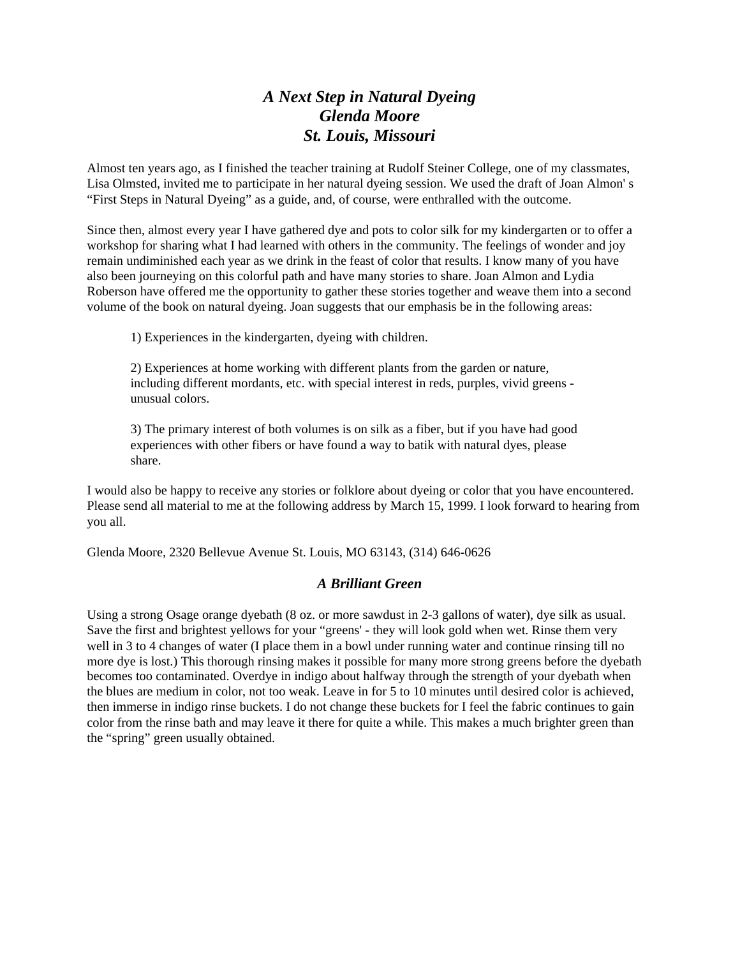# *A Next Step in Natural Dyeing Glenda Moore St. Louis, Missouri*

Almost ten years ago, as I finished the teacher training at Rudolf Steiner College, one of my classmates, Lisa Olmsted, invited me to participate in her natural dyeing session. We used the draft of Joan Almon' s "First Steps in Natural Dyeing" as a guide, and, of course, were enthralled with the outcome.

Since then, almost every year I have gathered dye and pots to color silk for my kindergarten or to offer a workshop for sharing what I had learned with others in the community. The feelings of wonder and joy remain undiminished each year as we drink in the feast of color that results. I know many of you have also been journeying on this colorful path and have many stories to share. Joan Almon and Lydia Roberson have offered me the opportunity to gather these stories together and weave them into a second volume of the book on natural dyeing. Joan suggests that our emphasis be in the following areas:

1) Experiences in the kindergarten, dyeing with children.

2) Experiences at home working with different plants from the garden or nature, including different mordants, etc. with special interest in reds, purples, vivid greens unusual colors.

3) The primary interest of both volumes is on silk as a fiber, but if you have had good experiences with other fibers or have found a way to batik with natural dyes, please share.

I would also be happy to receive any stories or folklore about dyeing or color that you have encountered. Please send all material to me at the following address by March 15, 1999. I look forward to hearing from you all.

Glenda Moore, 2320 Bellevue Avenue St. Louis, MO 63143, (314) 646-0626

#### *A Brilliant Green*

Using a strong Osage orange dyebath (8 oz. or more sawdust in 2-3 gallons of water), dye silk as usual. Save the first and brightest yellows for your "greens' - they will look gold when wet. Rinse them very well in 3 to 4 changes of water (I place them in a bowl under running water and continue rinsing till no more dye is lost.) This thorough rinsing makes it possible for many more strong greens before the dyebath becomes too contaminated. Overdye in indigo about halfway through the strength of your dyebath when the blues are medium in color, not too weak. Leave in for 5 to 10 minutes until desired color is achieved, then immerse in indigo rinse buckets. I do not change these buckets for I feel the fabric continues to gain color from the rinse bath and may leave it there for quite a while. This makes a much brighter green than the "spring" green usually obtained.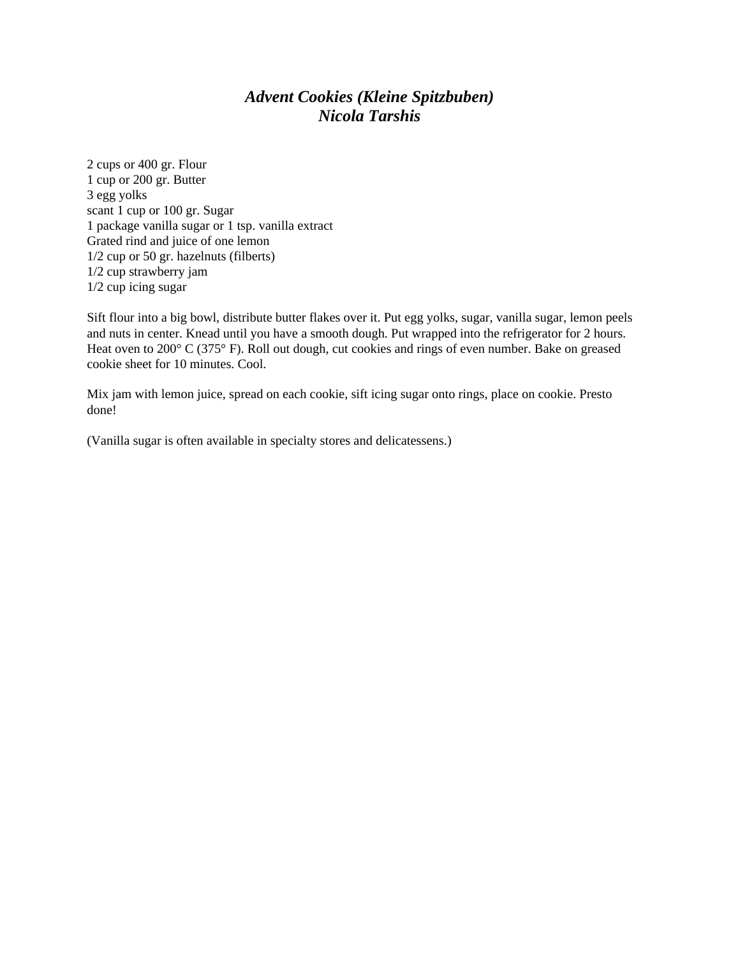#### *Advent Cookies (Kleine Spitzbuben) Nicola Tarshis*

2 cups or 400 gr. Flour 1 cup or 200 gr. Butter 3 egg yolks scant 1 cup or 100 gr. Sugar 1 package vanilla sugar or 1 tsp. vanilla extract Grated rind and juice of one lemon 1/2 cup or 50 gr. hazelnuts (filberts) 1/2 cup strawberry jam 1/2 cup icing sugar

Sift flour into a big bowl, distribute butter flakes over it. Put egg yolks, sugar, vanilla sugar, lemon peels and nuts in center. Knead until you have a smooth dough. Put wrapped into the refrigerator for 2 hours. Heat oven to 200° C (375° F). Roll out dough, cut cookies and rings of even number. Bake on greased cookie sheet for 10 minutes. Cool.

Mix jam with lemon juice, spread on each cookie, sift icing sugar onto rings, place on cookie. Presto done!

(Vanilla sugar is often available in specialty stores and delicatessens.)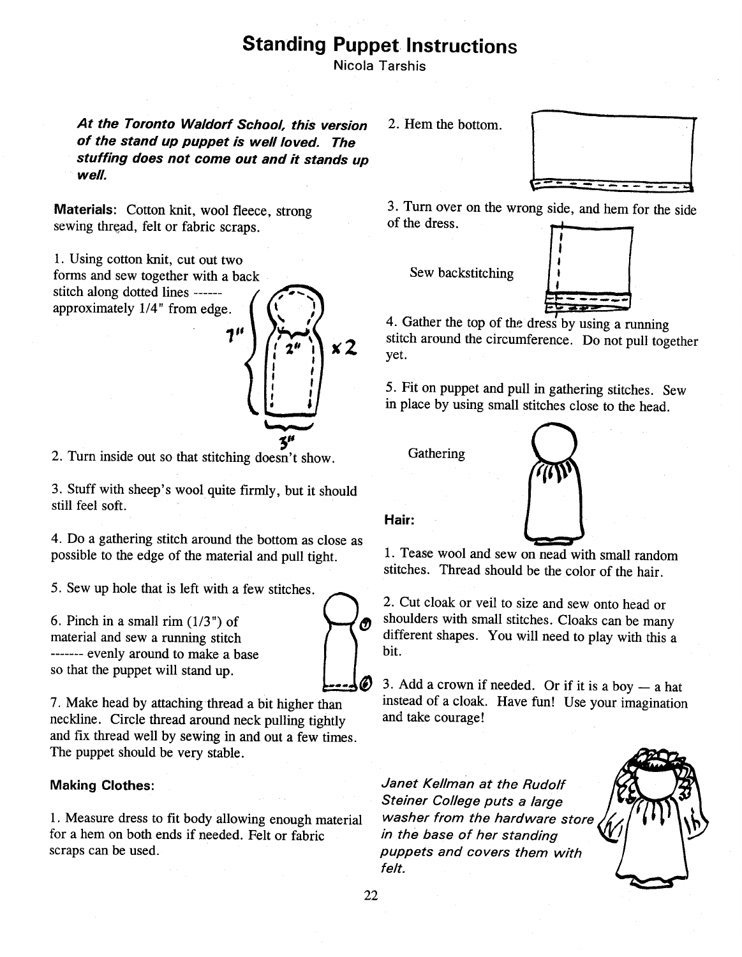# **Standing Puppet Instructions**

Nicola Tarshis

At the Toronto Waldorf School, this version of the stand up puppet is well loved. The stuffing does not come out and it stands up well.

Materials: Cotton knit, wool fleece, strong sewing thread, felt or fabric scraps.

1. Using cotton knit, cut out two forms and sew together with a back stitch along dotted lines -----approximately 1/4" from edge.



2. Turn inside out so that stitching doesn't show.

3. Stuff with sheep's wool quite firmly, but it should still feel soft.

4. Do a gathering stitch around the bottom as close as possible to the edge of the material and pull tight.

5. Sew up hole that is left with a few stitches.

6. Pinch in a small rim  $(1/3")$  of material and sew a running stitch ------- evenly around to make a base so that the puppet will stand up.

7. Make head by attaching thread a bit higher than neckline. Circle thread around neck pulling tightly and fix thread well by sewing in and out a few times. The puppet should be very stable.

#### **Making Clothes:**

1. Measure dress to fit body allowing enough material for a hem on both ends if needed. Felt or fabric scraps can be used.

2. Hem the bottom.



3. Turn over on the wrong side, and hem for the side of the dress.

Sew backstitching



4. Gather the top of the dress by using a running stitch around the circumference. Do not pull together vet.

5. Fit on puppet and pull in gathering stitches. Sew in place by using small stitches close to the head.

Gathering



Hair:

1. Tease wool and sew on nead with small random stitches. Thread should be the color of the hair.

2. Cut cloak or veil to size and sew onto head or shoulders with small stitches. Cloaks can be many different shapes. You will need to play with this a bit.

3. Add a crown if needed. Or if it is a boy  $-$  a hat instead of a cloak. Have fun! Use your imagination and take courage!

Janet Kellman at the Rudolf Steiner College puts a large washer from the hardware store in the base of her standing puppets and covers them with felt.

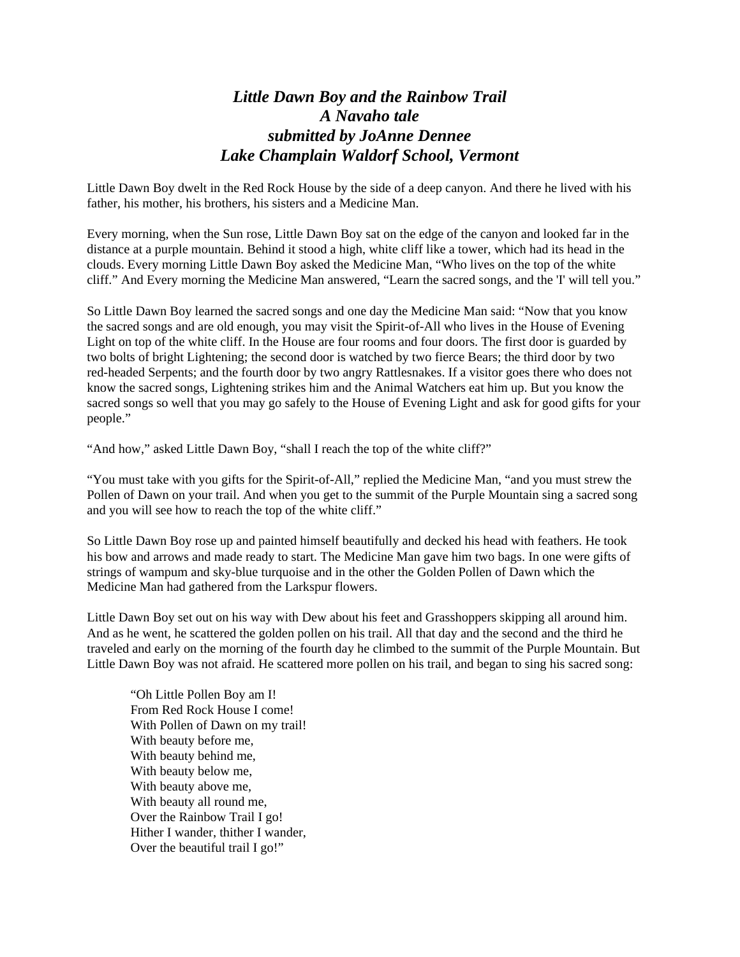### *Little Dawn Boy and the Rainbow Trail A Navaho tale submitted by JoAnne Dennee Lake Champlain Waldorf School, Vermont*

Little Dawn Boy dwelt in the Red Rock House by the side of a deep canyon. And there he lived with his father, his mother, his brothers, his sisters and a Medicine Man.

Every morning, when the Sun rose, Little Dawn Boy sat on the edge of the canyon and looked far in the distance at a purple mountain. Behind it stood a high, white cliff like a tower, which had its head in the clouds. Every morning Little Dawn Boy asked the Medicine Man, "Who lives on the top of the white cliff." And Every morning the Medicine Man answered, "Learn the sacred songs, and the 'I' will tell you."

So Little Dawn Boy learned the sacred songs and one day the Medicine Man said: "Now that you know the sacred songs and are old enough, you may visit the Spirit-of-All who lives in the House of Evening Light on top of the white cliff. In the House are four rooms and four doors. The first door is guarded by two bolts of bright Lightening; the second door is watched by two fierce Bears; the third door by two red-headed Serpents; and the fourth door by two angry Rattlesnakes. If a visitor goes there who does not know the sacred songs, Lightening strikes him and the Animal Watchers eat him up. But you know the sacred songs so well that you may go safely to the House of Evening Light and ask for good gifts for your people."

"And how," asked Little Dawn Boy, "shall I reach the top of the white cliff?"

"You must take with you gifts for the Spirit-of-All," replied the Medicine Man, "and you must strew the Pollen of Dawn on your trail. And when you get to the summit of the Purple Mountain sing a sacred song and you will see how to reach the top of the white cliff."

So Little Dawn Boy rose up and painted himself beautifully and decked his head with feathers. He took his bow and arrows and made ready to start. The Medicine Man gave him two bags. In one were gifts of strings of wampum and sky-blue turquoise and in the other the Golden Pollen of Dawn which the Medicine Man had gathered from the Larkspur flowers.

Little Dawn Boy set out on his way with Dew about his feet and Grasshoppers skipping all around him. And as he went, he scattered the golden pollen on his trail. All that day and the second and the third he traveled and early on the morning of the fourth day he climbed to the summit of the Purple Mountain. But Little Dawn Boy was not afraid. He scattered more pollen on his trail, and began to sing his sacred song:

"Oh Little Pollen Boy am I! From Red Rock House I come! With Pollen of Dawn on my trail! With beauty before me, With beauty behind me, With beauty below me, With beauty above me, With beauty all round me, Over the Rainbow Trail I go! Hither I wander, thither I wander, Over the beautiful trail I go!"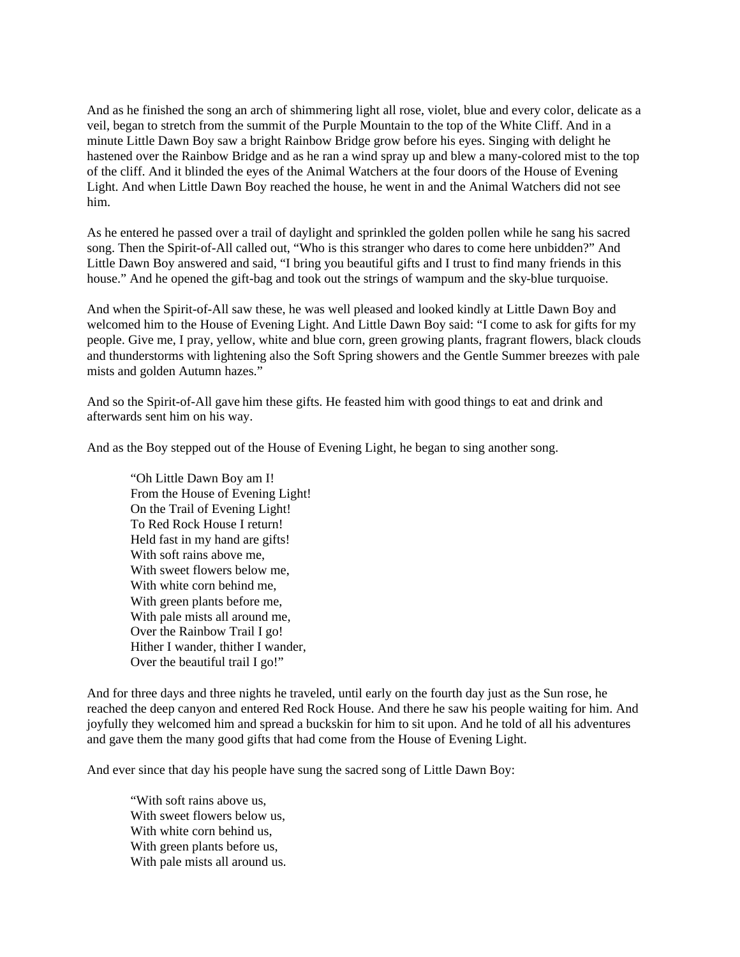And as he finished the song an arch of shimmering light all rose, violet, blue and every color, delicate as a veil, began to stretch from the summit of the Purple Mountain to the top of the White Cliff. And in a minute Little Dawn Boy saw a bright Rainbow Bridge grow before his eyes. Singing with delight he hastened over the Rainbow Bridge and as he ran a wind spray up and blew a many-colored mist to the top of the cliff. And it blinded the eyes of the Animal Watchers at the four doors of the House of Evening Light. And when Little Dawn Boy reached the house, he went in and the Animal Watchers did not see him.

As he entered he passed over a trail of daylight and sprinkled the golden pollen while he sang his sacred song. Then the Spirit-of-All called out, "Who is this stranger who dares to come here unbidden?" And Little Dawn Boy answered and said, "I bring you beautiful gifts and I trust to find many friends in this house." And he opened the gift-bag and took out the strings of wampum and the sky-blue turquoise.

And when the Spirit-of-All saw these, he was well pleased and looked kindly at Little Dawn Boy and welcomed him to the House of Evening Light. And Little Dawn Boy said: "I come to ask for gifts for my people. Give me, I pray, yellow, white and blue corn, green growing plants, fragrant flowers, black clouds and thunderstorms with lightening also the Soft Spring showers and the Gentle Summer breezes with pale mists and golden Autumn hazes."

And so the Spirit-of-All gave him these gifts. He feasted him with good things to eat and drink and afterwards sent him on his way.

And as the Boy stepped out of the House of Evening Light, he began to sing another song.

"Oh Little Dawn Boy am I! From the House of Evening Light! On the Trail of Evening Light! To Red Rock House I return! Held fast in my hand are gifts! With soft rains above me. With sweet flowers below me, With white corn behind me, With green plants before me, With pale mists all around me, Over the Rainbow Trail I go! Hither I wander, thither I wander, Over the beautiful trail I go!"

And for three days and three nights he traveled, until early on the fourth day just as the Sun rose, he reached the deep canyon and entered Red Rock House. And there he saw his people waiting for him. And joyfully they welcomed him and spread a buckskin for him to sit upon. And he told of all his adventures and gave them the many good gifts that had come from the House of Evening Light.

And ever since that day his people have sung the sacred song of Little Dawn Boy:

"With soft rains above us, With sweet flowers below us, With white corn behind us, With green plants before us, With pale mists all around us.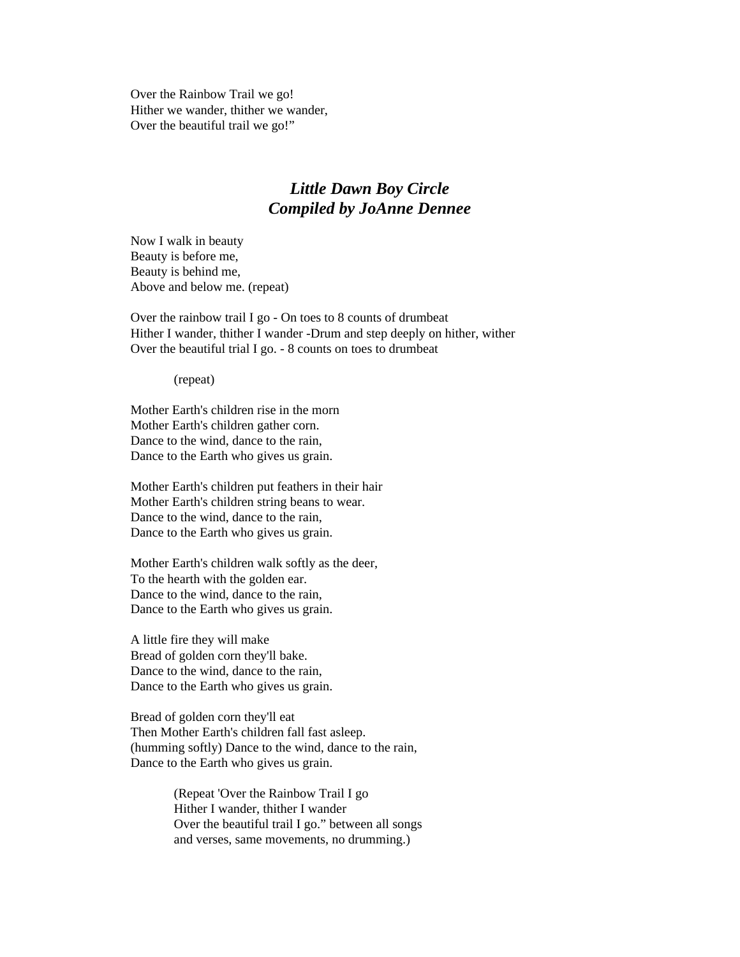Over the Rainbow Trail we go! Hither we wander, thither we wander, Over the beautiful trail we go!"

#### *Little Dawn Boy Circle Compiled by JoAnne Dennee*

Now I walk in beauty Beauty is before me, Beauty is behind me, Above and below me. (repeat)

Over the rainbow trail I go - On toes to 8 counts of drumbeat Hither I wander, thither I wander -Drum and step deeply on hither, wither Over the beautiful trial I go. - 8 counts on toes to drumbeat

(repeat)

Mother Earth's children rise in the morn Mother Earth's children gather corn. Dance to the wind, dance to the rain, Dance to the Earth who gives us grain.

Mother Earth's children put feathers in their hair Mother Earth's children string beans to wear. Dance to the wind, dance to the rain, Dance to the Earth who gives us grain.

Mother Earth's children walk softly as the deer, To the hearth with the golden ear. Dance to the wind, dance to the rain, Dance to the Earth who gives us grain.

A little fire they will make Bread of golden corn they'll bake. Dance to the wind, dance to the rain, Dance to the Earth who gives us grain.

Bread of golden corn they'll eat Then Mother Earth's children fall fast asleep. (humming softly) Dance to the wind, dance to the rain, Dance to the Earth who gives us grain.

> (Repeat 'Over the Rainbow Trail I go Hither I wander, thither I wander Over the beautiful trail I go." between all songs and verses, same movements, no drumming.)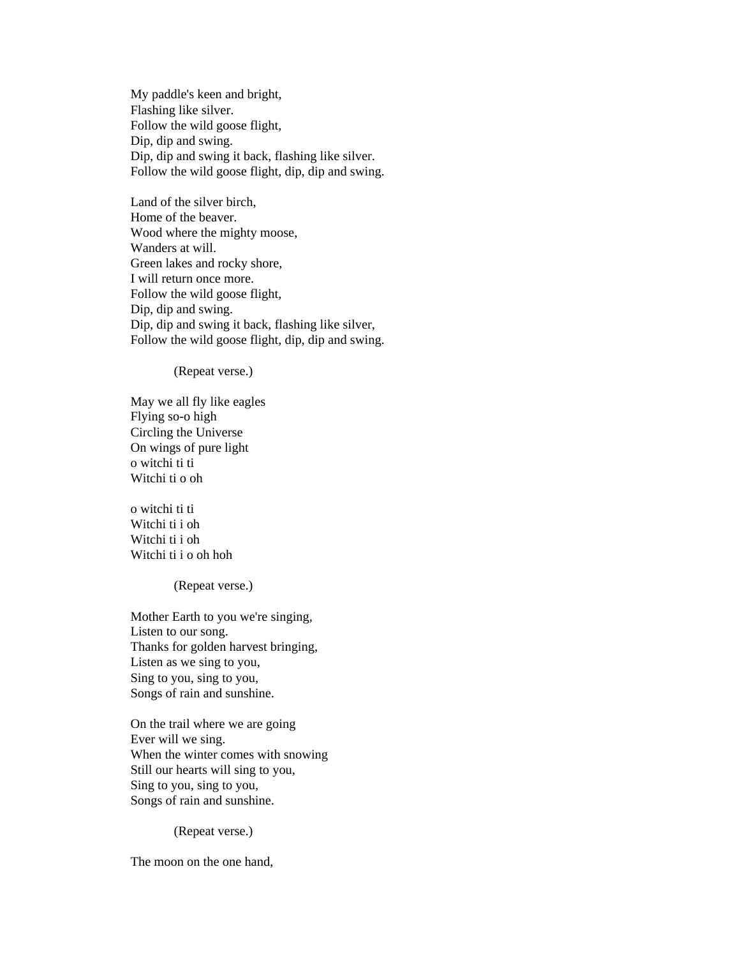My paddle's keen and bright, Flashing like silver. Follow the wild goose flight, Dip, dip and swing. Dip, dip and swing it back, flashing like silver. Follow the wild goose flight, dip, dip and swing.

Land of the silver birch, Home of the beaver. Wood where the mighty moose, Wanders at will. Green lakes and rocky shore, I will return once more. Follow the wild goose flight, Dip, dip and swing. Dip, dip and swing it back, flashing like silver, Follow the wild goose flight, dip, dip and swing.

(Repeat verse.)

May we all fly like eagles Flying so-o high Circling the Universe On wings of pure light o witchi ti ti Witchi ti o oh

o witchi ti ti Witchi ti i oh Witchi ti i oh Witchi ti i o oh hoh

(Repeat verse.)

Mother Earth to you we're singing, Listen to our song. Thanks for golden harvest bringing, Listen as we sing to you, Sing to you, sing to you, Songs of rain and sunshine.

On the trail where we are going Ever will we sing. When the winter comes with snowing Still our hearts will sing to you, Sing to you, sing to you, Songs of rain and sunshine.

(Repeat verse.)

The moon on the one hand,